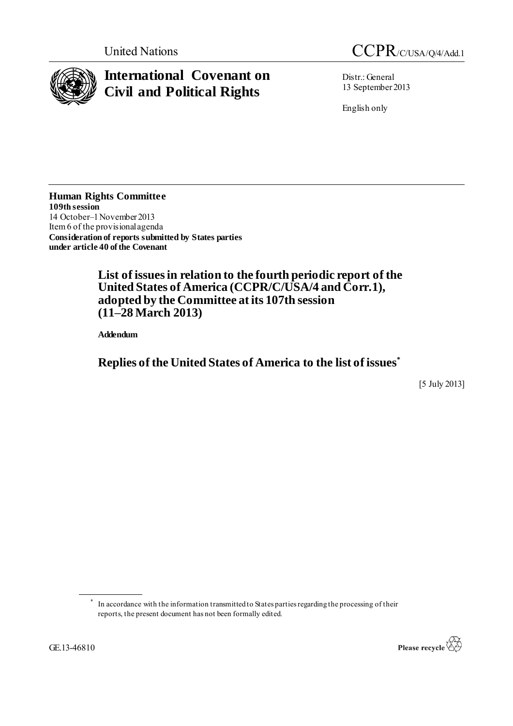

# **International Covenant on Civil and Political Rights**



Distr.: General 13 September 2013

English only

**Human Rights Committee 109thsession** 14 October–1November 2013 Item 6 of the provisional agenda **Consideration of reports submitted by States parties under article 40 of the Covenant**

> **List of issues in relation to the fourth periodic report of the United States of America (CCPR/C/USA/4 and Corr.1), adopted by the Committee at its 107th session (11–28 March 2013)**

**Addendum**

**Replies of the United States of America to the list of issues\***

[5 July 2013]

<sup>\*</sup> In accordance with the information transmitted to States parties regarding the processing of their reports, the present document has not been formally edited.

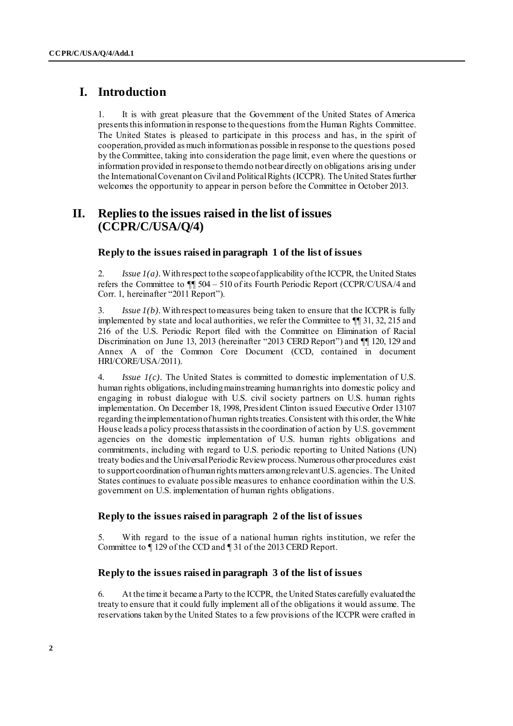# **I. Introduction**

1. It is with great pleasure that the Government of the United States of America presents this information in response to the questions from the Human Rights Committee. The United States is pleased to participate in this process and has, in the spirit of cooperation, provided as much information as possible in response to the questions posed by the Committee, taking into consideration the page limit, even where the questions or information provided in response to them do not bear directly on obligations arising under the International Covenant on Civil and Political Rights (ICCPR). The United States further welcomes the opportunity to appear in person before the Committee in October 2013.

# **II. Replies to the issues raised in the list of issues (CCPR/C/USA/Q/4)**

#### **Reply to the issues raised in paragraph 1 of the list of issues**

2. *Issue 1(a).* With respect to the scope of applicability of the ICCPR, the United States refers the Committee to ¶¶ 504 – 510 of its Fourth Periodic Report (CCPR/C/USA/4 and Corr. 1, hereinafter "2011 Report").

3. *Issue 1(b).*With respect to measures being taken to ensure that the ICCPR is fully implemented by state and local authorities, we refer the Committee to ¶¶ 31, 32, 215 and 216 of the U.S. Periodic Report filed with the Committee on Elimination of Racial Discrimination on June 13, 2013 (hereinafter "2013 CERD Report") and ¶¶ 120, 129 and Annex A of the Common Core Document (CCD, contained in document HRI/CORE/USA/2011).

4. *Issue 1(c).* The United States is committed to domestic implementation of U.S. human rights obligations, including mainstreaming human rights into domestic policy and engaging in robust dialogue with U.S. civil society partners on U.S. human rights implementation. On December 18, 1998, President Clinton issued Executive Order 13107 regarding the implementation of human rights treaties. Consistent with this order, the White House leads a policy process that assists in the coordination of action by U.S. government agencies on the domestic implementation of U.S. human rights obligations and commitments, including with regard to U.S. periodic reporting to United Nations (UN) treaty bodies and the Universal Periodic Review process. Numerous other procedures exist to support coordination of human rights matters among relevant U.S. agencies. The United States continues to evaluate possible measures to enhance coordination within the U.S. government on U.S. implementation of human rights obligations.

# **Reply to the issues raised in paragraph 2 of the list of issues**

5. With regard to the issue of a national human rights institution, we refer the Committee to ¶ 129 of the CCD and ¶ 31 of the 2013 CERD Report.

# **Reply to the issues raised in paragraph 3 of the list of issues**

6. At the time it became a Party to the ICCPR, the United States carefully evaluated the treaty to ensure that it could fully implement all of the obligations it would assume. The reservations taken by the United States to a few provisions of the ICCPR were crafted in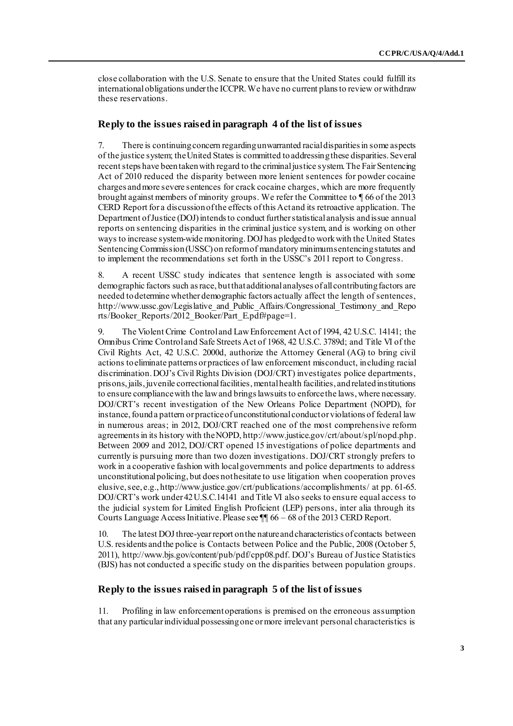close collaboration with the U.S. Senate to ensure that the United States could fulfill its international obligations under the ICCPR. We have no current plans to review or withdraw these reservations.

# **Reply to the issues raised in paragraph 4 of the list of issues**

7. There is continuing concern regarding unwarranted racial disparities in some aspects of the justice system; the United States is committed to addressing these disparities. Several recent steps have been taken with regard to the criminal justice system. The Fair Sentencing Act of 2010 reduced the disparity between more lenient sentences for powder cocaine charges and more severe sentences for crack cocaine charges, which are more frequently brought against members of minority groups. We refer the Committee to ¶ 66 of the 2013 CERD Report for a discussion of the effects of this Act and its retroactive application. The Department of Justice (DOJ) intends to conduct further statistical analysis and issue annual reports on sentencing disparities in the criminal justice system, and is working on other ways to increase system-wide monitoring. DOJ has pledged to work with the United States Sentencing Commission (USSC) on reform of mandatory minimum sentencing statutes and to implement the recommendations set forth in the USSC's 2011 report to Congress.

8. A recent USSC study indicates that sentence length is associated with some demographic factors such as race, but that additional analyses of all contributing factors are needed to determine whether demographic factors actually affect the length of sentences, [http://www.ussc.gov/Legislative\\_and\\_Public\\_Affairs/Congressional\\_Testimony\\_and\\_Repo](http://www.ussc.gov/Legislative_and_Public_Affairs/Congressional_Testimony_and_Reports/Booker_Reports/2012_Booker/Part_E.pdf#page=1) [rts/Booker\\_Reports/2012\\_Booker/Part\\_E.pdf#page=](http://www.ussc.gov/Legislative_and_Public_Affairs/Congressional_Testimony_and_Reports/Booker_Reports/2012_Booker/Part_E.pdf#page=1)1.

9. The Violent Crime Control and Law Enforcement Act of 1994, 42 U.S.C. 14141; the Omnibus Crime Control and Safe Streets Act of 1968, 42 U.S.C. 3789d; and Title VI of the Civil Rights Act, 42 U.S.C. 2000d, authorize the Attorney General (AG) to bring civil actions to eliminate patterns or practices of law enforcement misconduct, including racial discrimination. DOJ's Civil Rights Division (DOJ/CRT) investigates police departments, prisons, jails, juvenile correctional facilities, mental health facilities, and related institutions to ensure compliance with the law and brings lawsuits to enforce the laws, where necessary. DOJ/CRT's recent investigation of the New Orleans Police Department (NOPD), for instance, found a pattern or practice of unconstitutional conduct or violations of federal law in numerous areas; in 2012, DOJ/CRT reached one of the most comprehensive reform agreements in its history with the NOPD, ht[tp://www.justice.gov/crt/about/spl/nopd.php.](http://www.justice.gov/crt/about/spl/nopd.php) Between 2009 and 2012, DOJ/CRT opened 15 investigations of police departments and currently is pursuing more than two dozen investigations. DOJ/CRT strongly prefers to work in a cooperative fashion with local governments and police departments to address unconstitutional policing, but does not hesitate to use litigation when cooperation proves elusive, see, e.g., [http://www.justice.gov/crt/publications/accomplishments](http://www.justice.gov/crt/publications/accomplishments/)/ at pp. 61-65. DOJ/CRT's work under 42 U.S.C.14141 and Title VI also seeks to ensure equal access to the judicial system for Limited English Proficient (LEP) persons, inter alia through its Courts Language Access Initiative. Please see ¶¶ 66 – 68 of the 2013 CERD Report.

10. The latest DOJ three-year report on the nature and characteristics of contacts between U.S. residents and the police is Contacts between Police and the Public, 2008 (October 5, 2011), [http://www.bjs.gov/content/pub/pdf/cpp08.pd](http://www.bjs.gov/content/pub/pdf/cpp08.pdf)f. DOJ's Bureau of Justice Statistics (BJS) has not conducted a specific study on the disparities between population groups.

# **Reply to the issues raised in paragraph 5 of the list of issues**

11. Profiling in law enforcement operations is premised on the erroneous assumption that any particular individual possessing one or more irrelevant personal characteristics is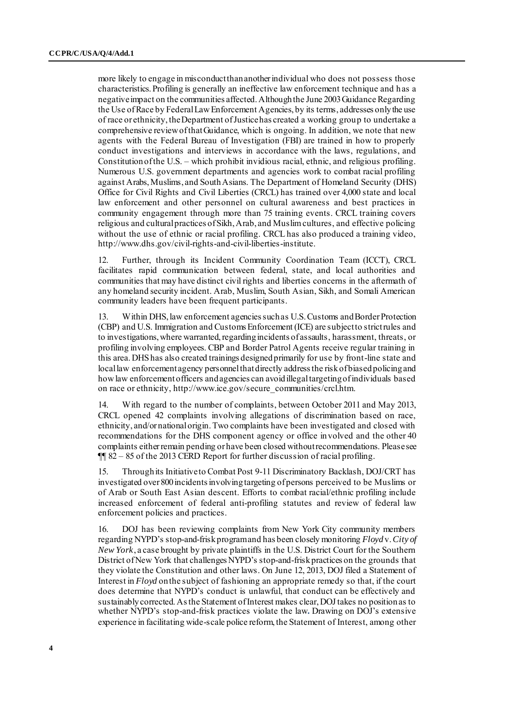more likely to engage in misconduct than another individual who does not possess those characteristics. Profiling is generally an ineffective law enforcement technique and has a negative impact on the communities affected. Although the June 2003 Guidance Regarding the Use of Race by Federal Law Enforcement Agencies, by its terms, addresses only the use of race or ethnicity, the Department of Justice has created a working group to undertake a comprehensive review of that Guidance, which is ongoing. In addition, we note that new agents with the Federal Bureau of Investigation (FBI) are trained in how to properly conduct investigations and interviews in accordance with the laws, regulations, and Constitution of the U.S. – which prohibit invidious racial, ethnic, and religious profiling. Numerous U.S. government departments and agencies work to combat racial profiling against Arabs, Muslims, and South Asians. The Department of Homeland Security (DHS) Office for Civil Rights and Civil Liberties (CRCL) has trained over 4,000 state and local law enforcement and other personnel on cultural awareness and best practices in community engagement through more than 75 training events. CRCL training covers religious and cultural practices of Sikh, Arab, and Muslim cultures, and effective policing without the use of ethnic or racial profiling. CRCL has also produced a training video, [http://www.dhs.gov/civil-rights-and-civil-liberties-institu](http://www.dhs.gov/civil-rights-and-civil-liberties-institute)te.

12. Further, through its Incident Community Coordination Team (ICCT), CRCL facilitates rapid communication between federal, state, and local authorities and communities that may have distinct civil rights and liberties concerns in the aftermath of any homeland security incident. Arab, Muslim, South Asian, Sikh, and Somali American community leaders have been frequent participants.

13. Within DHS, law enforcement agencies such as U.S. Customs and Border Protection (CBP) and U.S. Immigration and Customs Enforcement (ICE) are subject to strict rules and to investigations, where warranted, regarding incidents of assaults, harassment, threats, or profiling involving employees. CBP and Border Patrol Agents receive regular training in this area. DHS has also created trainings designed primarily for use by front-line state and local law enforcement agency personnel that directly address the risk of biased policing and how law enforcement officers and agencies can avoid illegal targeting of individuals based on race or ethnicit[y, http://www.ice.gov/secure\\_communities/crcl.h](http://www.ice.gov/secure_communities/crcl.htm)tm.

14. With regard to the number of complaints, between October 2011 and May 2013, CRCL opened 42 complaints involving allegations of discrimination based on race, ethnicity, and/or national origin. Two complaints have been investigated and closed with recommendations for the DHS component agency or office involved and the other 40 complaints either remain pending or have been closed without recommendations. Please see ¶¶ 82 – 85 of the 2013 CERD Report for further discussion of racial profiling.

15. Through its Initiative to Combat Post 9-11 Discriminatory Backlash, DOJ/CRT has investigated over 800 incidents involving targeting of persons perceived to be Muslims or of Arab or South East Asian descent. Efforts to combat racial/ethnic profiling include increased enforcement of federal anti-profiling statutes and review of federal law enforcement policies and practices.

16. DOJ has been reviewing complaints from New York City community members regarding NYPD's stop-and-frisk program and has been closely monitoring *Floyd*v. *City of New York*, a case brought by private plaintiffs in the U.S. District Court for the Southern District of New York that challenges NYPD's stop-and-frisk practices on the grounds that they violate the Constitution and other laws. On June 12, 2013, DOJ filed a Statement of Interest in *Floyd* on the subject of fashioning an appropriate remedy so that, if the court does determine that NYPD's conduct is unlawful, that conduct can be effectively and sustainably corrected. As the Statement of Interest makes clear, DOJ takes no position as to whether NYPD's stop-and-frisk practices violate the law*.* Drawing on DOJ's extensive experience in facilitating wide-scale police reform, the Statement of Interest, among other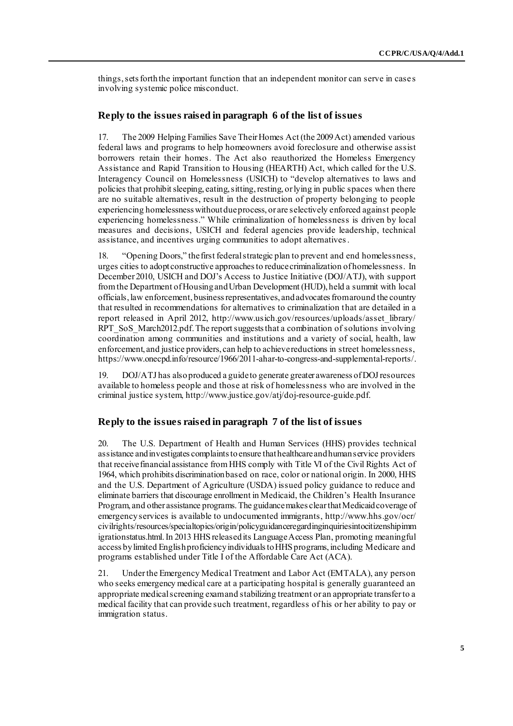things, sets forth the important function that an independent monitor can serve in case s involving systemic police misconduct.

### **Reply to the issues raised in paragraph 6 of the list of issues**

17. The 2009 Helping Families Save Their Homes Act (the 2009 Act) amended various federal laws and programs to help homeowners avoid foreclosure and otherwise assist borrowers retain their homes. The Act also reauthorized the Homeless Emergency Assistance and Rapid Transition to Housing (HEARTH) Act, which called for the U.S. Interagency Council on Homelessness (USICH) to "develop alternatives to laws and policies that prohibit sleeping, eating, sitting, resting, or lying in public spaces when there are no suitable alternatives, result in the destruction of property belonging to people experiencing homelessness without due process, or are selectively enforced against people experiencing homelessness." While criminalization of homelessness is driven by local measures and decisions, USICH and federal agencies provide leadership, technical assistance, and incentives urging communities to adopt alternatives.

18. "Opening Doors," the first federal strategic plan to prevent and end homelessness, urges cities to adopt constructive approaches to reduce criminalization of homelessness. In December 2010, USICH and DOJ's Access to Justice Initiative (DOJ/ATJ), with support from the Department of Housing and Urban Development (HUD), held a summit with local officials, law enforcement, business representatives, and advocates from around the country that resulted in recommendations for alternatives to criminalization that are detailed in a report released in April 2012, htt[p://www.usich.gov/resources/uploads/asset\\_library/](http://www.usich.gov/resources/uploads/‌asset_library/RPT_SoS_March2012.pdf) [RPT\\_SoS\\_March2012.pdf](http://www.usich.gov/resources/uploads/‌asset_library/RPT_SoS_March2012.pdf). The report suggests that a combination of solutions involving coordination among communities and institutions and a variety of social, health, law enforcement, and justice providers, can help to achieve reductions in street homelessness, [https://www.onecpd.info/resource/1966/2011-ahar-to-congress-and-supplemental-reports](https://www.onecpd.info/resource/1966/2011-ahar-to-congress-and-supplemental-reports/)/.

19. DOJ/ATJ has also produced a guide to generate greater awareness of DOJ resources available to homeless people and those at risk of homelessness who are involved in the criminal justice syste[m, http://www.justice.gov/atj/doj-resource-guide.](http://www.justice.gov/atj/doj-resource-guide.pdf)pdf.

#### **Reply to the issues raised in paragraph 7 of the list of issues**

20. The U.S. Department of Health and Human Services (HHS) provides technical assistance and investigates complaints to ensure that healthcare and human service providers that receive financial assistance from HHS comply with Title VI of the Civil Rights Act of 1964, which prohibits discrimination based on race, color or national origin. In 2000, HHS and the U.S. Department of Agriculture (USDA) issued policy guidance to reduce and eliminate barriers that discourage enrollment in Medicaid, the Children's Health Insurance Program, and other assistance programs. The guidance makes clear that Medicaid coverage of emergency services is available to undocumented immigrants, http://www.hhs.gov/ocr/ civilrights/resources/specialtopics/origin/policyguidanceregardinginquiriesintocitizenshipimm igrationstatus.html. In 2013 HHS released its Language Access Plan, promoting meaningful access by limited English proficiency individuals to HHS programs, including Medicare and programs established under Title I of the Affordable Care Act (ACA).

21. Under the Emergency Medical Treatment and Labor Act (EMTALA), any person who seeks emergency medical care at a participating hospital is generally guaranteed an appropriate medical screening exam and stabilizing treatment or an appropriate transfer to a medical facility that can provide such treatment, regardless of his or her ability to pay or immigration status.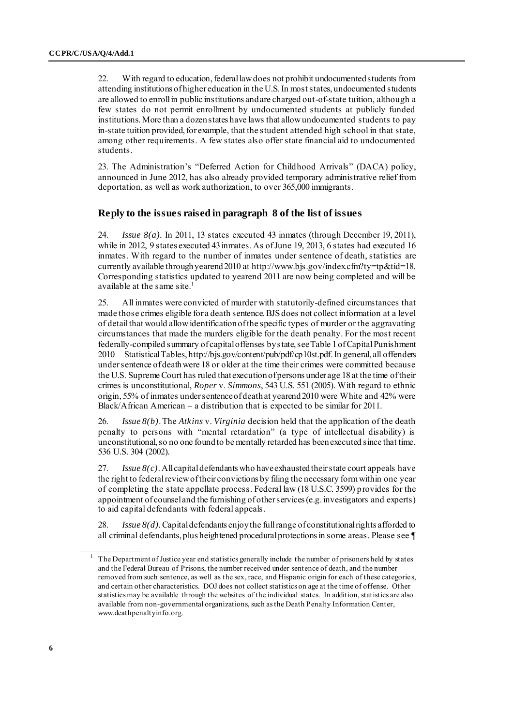22. With regard to education, federal law does not prohibit undocumented students from attending institutions of higher education in the U.S. In most states, undocumented students are allowed to enroll in public institutions and are charged out-of-state tuition, although a few states do not permit enrollment by undocumented students at publicly funded institutions. More than a dozen states have laws that allow undocumented students to pay in-state tuition provided, for example, that the student attended high school in that state, among other requirements. A few states also offer state financial aid to undocumented students.

23. The Administration's "Deferred Action for Childhood Arrivals" (DACA) policy, announced in June 2012, has also already provided temporary administrative relief from deportation, as well as work authorization, to over 365,000 immigrants.

# **Reply to the issues raised in paragraph 8 of the list of issues**

24. *Issue 8(a).* In 2011, 13 states executed 43 inmates (through December 19, 2011), while in 2012, 9 states executed 43 inmates. As of June 19, 2013, 6 states had executed 16 inmates. With regard to the number of inmates under sentence of death, statistics are currently available through yearend 2010 at http://www.bjs.gov/index.cfm?ty=tp&tid=18. Corresponding statistics updated to yearend 2011 are now being completed and will be available at the same site.<sup>1</sup>

25. All inmates were convicted of murder with statutorily-defined circumstances that made those crimes eligible for a death sentence. BJS does not collect information at a level of detail that would allow identification of the specific types of murder or the aggravating circumstances that made the murders eligible for the death penalty. For the most recent federally-compiled summary of capital offenses by state, see Table 1 of Capital Punishment 2010 – Statistical Tables[, http://bjs.gov/content/pub/pdf/cp10st.pdf](http://bjs.gov/content/pub/pdf/cp10st.pdf). In general, all offenders under sentence of death were 18 or older at the time their crimes were committed because the U.S. Supreme Court has ruled that execution of persons under age 18 at the time of their crimes is unconstitutional, *Roper* v. *Simmons*, 543 U.S. 551 (2005). With regard to ethnic origin, 55% of inmates under sentence of death at yearend 2010 were White and 42% were Black/African American – a distribution that is expected to be similar for 2011.

26. *Issue 8(b)*. The *Atkins* v. *Virginia* decision held that the application of the death penalty to persons with "mental retardation" (a type of intellectual disability) is unconstitutional, so no one found to be mentally retarded has been executed since that time. 536 U.S. 304 (2002).

27. *Issue 8(c)*. All capital defendants who have exhausted their state court appeals have the right to federal review of their convictions by filing the necessary form within one year of completing the state appellate process. Federal law (18 U.S.C. 3599) provides for the appointment of counsel and the furnishing of other services (e.g. investigators and experts) to aid capital defendants with federal appeals.

28. *Issue 8(d).*Capital defendants enjoy the full range of constitutional rights afforded to all criminal defendants, plus heightened procedural protections in some areas. Please see ¶

<sup>1</sup> The Department of Justice year end statistics generally include the number of prisoners held by states and the Federal Bureau of Prisons, the number received under sentence of death, and the number removed from such sentence, as well as the sex, race, and Hispanic origin for each of these categorie s, and certain other characteristics. DOJ does not collect statistics on age at the time of offense. Other statistics may be available through the websites of the individual states. In addition, statistics are also available from non-governmental organizations, such as the Death Penalty Information Center, [www.deathpenaltyinfo.org.](http://www.deathpenaltyinfo.org/)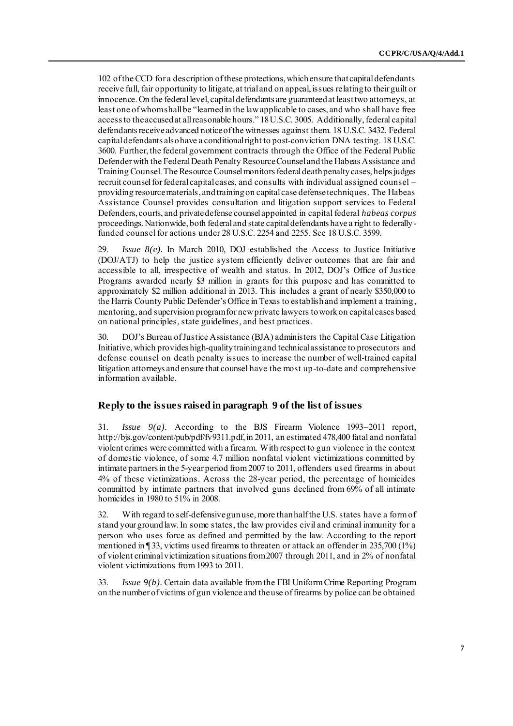102 of the CCD for a description of these protections, which ensure that capital defendants receive full, fair opportunity to litigate, at trial and on appeal, issues relating to their guilt or innocence. On the federal level, capital defendants are guaranteed at least two attorneys, at least one of whom shall be "learned in the law applicable to cases, and who shall have free access to the accused at all reasonable hours." 18 U.S.C. 3005. Additionally, federal capital defendants receive advanced notice of the witnesses against them. 18 U.S.C. 3432. Federal capital defendants also have a conditional right to post-conviction DNA testing. 18 U.S.C. 3600. Further, the federal government contracts through the Office of the Federal Public Defender with the Federal Death Penalty Resource Counsel and the Habeas Assistance and Training Counsel. The Resource Counsel monitors federal death penalty cases, helps judges recruit counsel for federal capital cases, and consults with individual assigned counsel – providing resource materials, and training on capital case defense techniques. The Habeas Assistance Counsel provides consultation and litigation support services to Federal Defenders, courts, and private defense counsel appointed in capital federal *habeas corpus* proceedings. Nationwide, both federal and state capital defendants have a right to federallyfunded counsel for actions under 28 U.S.C. 2254 and 2255. See 18 U.S.C. 3599.

29. *Issue 8(e).* In March 2010, DOJ established the Access to Justice Initiative (DOJ/ATJ) to help the justice system efficiently deliver outcomes that are fair and accessible to all, irrespective of wealth and status. In 2012, DOJ's Office of Justice Programs awarded nearly \$3 million in grants for this purpose and has committed to approximately \$2 million additional in 2013. This includes a grant of nearly \$350,000 to the Harris County Public Defender's Office in Texas to establish and implement a training, mentoring, and supervision program for new private lawyers to work on capital cases based on national principles, state guidelines, and best practices.

30. DOJ's Bureau of Justice Assistance (BJA) administers the Capital Case Litigation Initiative, which provides high-quality training and technical assistance to prosecutors and defense counsel on death penalty issues to increase the number of well-trained capital litigation attorneys and ensure that counsel have the most up-to-date and comprehensive information available.

# **Reply to the issues raised in paragraph 9 of the list of issues**

31. *Issue 9(a).* According to the BJS Firearm Violence 1993–2011 report, [http://bjs.gov/content/pub/pdf/fv9311.pdf,](http://bjs.gov/content/pub/pdf/fv9311.pdf) in 2011, an estimated 478,400 fatal and nonfatal violent crimes were committed with a firearm. With respect to gun violence in the context of domestic violence, of some 4.7 million nonfatal violent victimizations committed by intimate partners in the 5-year period from 2007 to 2011, offenders used firearms in about 4% of these victimizations. Across the 28-year period, the percentage of homicides committed by intimate partners that involved guns declined from 69% of all intimate homicides in 1980 to 51% in 2008.

32. With regard to self-defensive gun use, more than half the U.S. states have a form of stand your ground law. In some states, the law provides civil and criminal immunity for a person who uses force as defined and permitted by the law. According to the report mentioned in ¶ 33, victims used firearms to threaten or attack an offender in 235,700 (1%) of violent criminal victimization situations from 2007 through 2011, and in 2% of nonfatal violent victimizations from 1993 to 2011.

33. *Issue 9(b).* Certain data available from the FBI Uniform Crime Reporting Program on the number of victims of gun violence and the use of firearms by police can be obtained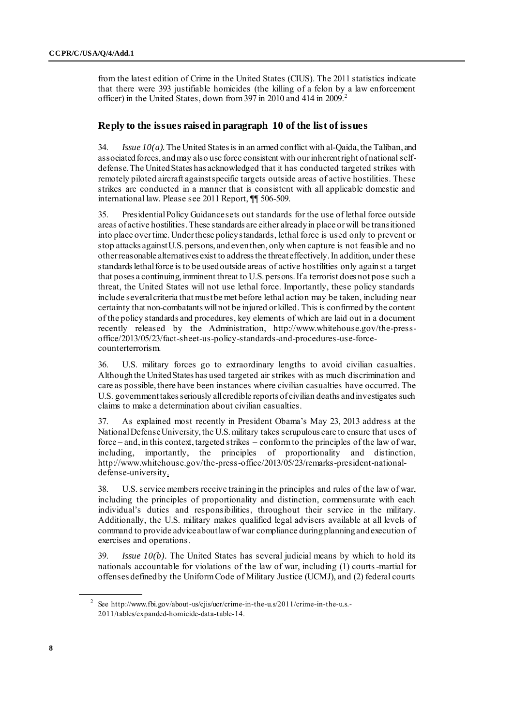from the latest edition of Crime in the United States (CIUS). The 2011 statistics indicate that there were 393 justifiable homicides (the killing of a felon by a law enforcement officer) in the United States, down from 397 in 2010 and 414 in 2009.<sup>2</sup>

# **Reply to the issues raised in paragraph 10 of the list of issues**

34. *Issue 10(a).*The United States is in an armed conflict with al-Qaida, the Taliban, and associated forces, and may also use force consistent with our inherent right of national selfdefense. The United States has acknowledged that it has conducted targeted strikes with remotely piloted aircraft against specific targets outside areas of active hostilities. These strikes are conducted in a manner that is consistent with all applicable domestic and international law. Please see 2011 Report, ¶¶ 506-509.

35. Presidential Policy Guidance sets out standards for the use of lethal force outside areas of active hostilities. These standards are either already in place or will be transitioned into place over time. Under these policy standards, lethal force is used only to prevent or stop attacks against U.S. persons, and even then, only when capture is not feasible and no other reasonable alternatives exist to address the threat effectively. In addition, under these standards lethal force is to be used outside areas of active hostilities only against a target that poses a continuing, imminent threat to U.S. persons. If a terrorist does not pose such a threat, the United States will not use lethal force. Importantly, these policy standards include several criteria that must be met before lethal action may be taken, including near certainty that non-combatants will not be injured or killed. This is confirmed by the content of the policy standards and procedures, key elements of which are laid out in a document recently released by the Administration, ht[tp://www.whitehouse.gov/the-press](http://www.whitehouse.gov/the-press-office/2013/05/23/fact-sheet-us-policy-standards-and-procedures-use-force-counterterrorism)[office/2013/05/23/fact-sheet-us-policy-standards-and-procedures-use-force](http://www.whitehouse.gov/the-press-office/2013/05/23/fact-sheet-us-policy-standards-and-procedures-use-force-counterterrorism)[counterterrorism](http://www.whitehouse.gov/the-press-office/2013/05/23/fact-sheet-us-policy-standards-and-procedures-use-force-counterterrorism).

36. U.S. military forces go to extraordinary lengths to avoid civilian casualties. Although the United States has used targeted air strikes with as much discrimination and care as possible, there have been instances where civilian casualties have occurred. The U.S. government takes seriously all credible reports of civilian deaths and investigates such claims to make a determination about civilian casualties.

37. As explained most recently in President Obama's May 23, 2013 address at the National Defense University, the U.S. military takes scrupulous care to ensure that uses of force – and, in this context, targeted strikes – conform to the principles of the law of war, including, importantly, the principles of proportionality and distinction, [http://www.whitehouse.gov/the-press-office/2013/05/23/remarks-president-national](http://www.whitehouse.gov/the-press-office/2013/05/23/remarks-president-national-defense-university)[defense-university](http://www.whitehouse.gov/the-press-office/2013/05/23/remarks-president-national-defense-university).

38. U.S. service members receive training in the principles and rules of the law of war, including the principles of proportionality and distinction, commensurate with each individual's duties and responsibilities, throughout their service in the military. Additionally, the U.S. military makes qualified legal advisers available at all levels of command to provide advice about law of war compliance during planning and execution of exercises and operations.

39. *Issue 10(b).* The United States has several judicial means by which to hold its nationals accountable for violations of the law of war, including (1) courts-martial for offenses defined by the Uniform Code of Military Justice (UCMJ), and (2) federal courts

<sup>&</sup>lt;sup>2</sup> See [http://www.fbi.gov/about-us/cjis/ucr/crime-in-the-u.s/2011/crime-in-the-u.s.-](http://www.fbi.gov/about-us/cjis/ucr/crime-in-the-u.s/2011/crime-in-the-u.s.-2011/tables/expanded-homicide-data-table-14) [2011/tables/expanded-homicide-data-table-14](http://www.fbi.gov/about-us/cjis/ucr/crime-in-the-u.s/2011/crime-in-the-u.s.-2011/tables/expanded-homicide-data-table-14).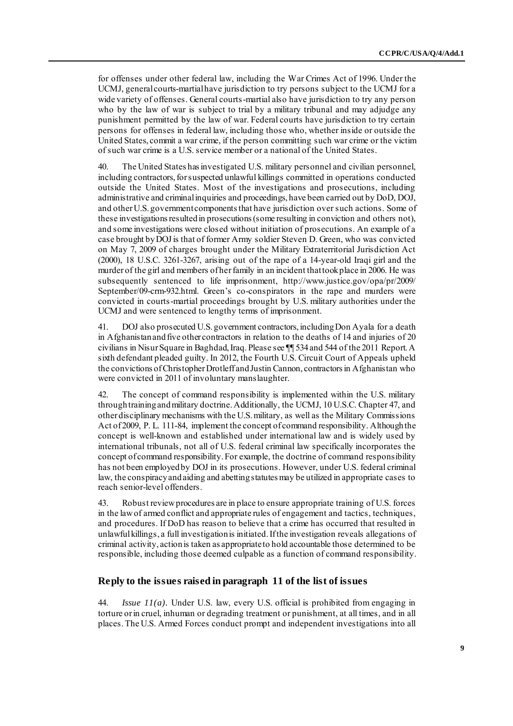for offenses under other federal law, including the War Crimes Act of 1996. Under the UCMJ, general courts-martial have jurisdiction to try persons subject to the UCMJ for a wide variety of offenses. General courts-martial also have jurisdiction to try any person who by the law of war is subject to trial by a military tribunal and may adjudge any punishment permitted by the law of war. Federal courts have jurisdiction to try certain persons for offenses in federal law, including those who, whether inside or outside the United States, commit a war crime, if the person committing such war crime or the victim of such war crime is a U.S. service member or a national of the United States.

40. The United States has investigated U.S. military personnel and civilian personnel, including contractors, for suspected unlawful killings committed in operations conducted outside the United States. Most of the investigations and prosecutions, including administrative and criminal inquiries and proceedings, have been carried out by DoD, DOJ, and other U.S. government components that have jurisdiction over such actions. Some of these investigations resulted in prosecutions (some resulting in conviction and others not), and some investigations were closed without initiation of prosecutions. An example of a case brought by DOJ is that of former Army soldier Steven D. Green, who was convicted on May 7, 2009 of charges brought under the Military Extraterritorial Jurisdiction Act (2000), 18 U.S.C. 3261-3267, arising out of the rape of a 14-year-old Iraqi girl and the murder of the girl and members of her family in an incident that took place in 2006. He was subsequently sentenced to life imprisonment, h[ttp://www.justice.gov/opa/pr/2009/](http://www.justice.gov/opa/pr/2009/September/09-crm-932.html) [September/09-crm-932.html](http://www.justice.gov/opa/pr/2009/September/09-crm-932.html). Green's co-conspirators in the rape and murders were convicted in courts-martial proceedings brought by U.S. military authorities under the UCMJ and were sentenced to lengthy terms of imprisonment.

41. DOJ also prosecuted U.S. government contractors, including Don Ayala for a death in Afghanistan and five other contractors in relation to the deaths of 14 and injuries of 20 civilians in Nisur Square in Baghdad, Iraq. Please see ¶¶ 534 and 544 of the 2011 Report. A sixth defendant pleaded guilty. In 2012, the Fourth U.S. Circuit Court of Appeals upheld the convictions of Christopher Drotleff and Justin Cannon, contractors in Afghanistan who were convicted in 2011 of involuntary manslaughter.

42. The concept of command responsibility is implemented within the U.S. military through training and military doctrine. Additionally, the UCMJ, 10 U.S.C. Chapter 47, and other disciplinary mechanisms with the U.S. military, as well as the Military Commissions Act of 2009, P. L. 111-84, implement the concept of command responsibility. Although the concept is well-known and established under international law and is widely used by international tribunals, not all of U.S. federal criminal law specifically incorporates the concept of command responsibility. For example, the doctrine of command responsibility has not been employed by DOJ in its prosecutions. However, under U.S. federal criminal law, the conspiracy and aiding and abetting statutes may be utilized in appropriate cases to reach senior-level offenders.

43. Robust review procedures are in place to ensure appropriate training of U.S. forces in the law of armed conflict and appropriate rules of engagement and tactics, techniques, and procedures. If DoD has reason to believe that a crime has occurred that resulted in unlawful killings, a full investigation is initiated. If the investigation reveals allegations of criminal activity, action is taken as appropriate to hold accountable those determined to be responsible, including those deemed culpable as a function of command responsibility.

# **Reply to the issues raised in paragraph 11 of the list of issues**

44. *Issue 11(a).* Under U.S. law, every U.S. official is prohibited from engaging in torture or in cruel, inhuman or degrading treatment or punishment, at all times, and in all places. The U.S. Armed Forces conduct prompt and independent investigations into all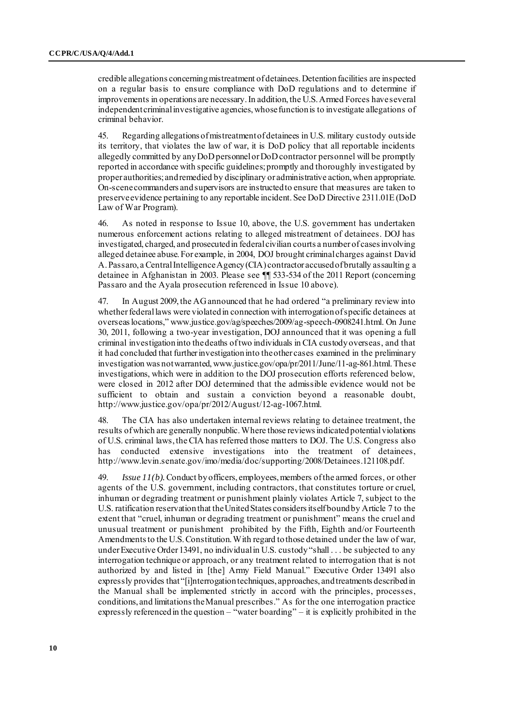credible allegations concerning mistreatment of detainees. Detention facilities are inspected on a regular basis to ensure compliance with DoD regulations and to determine if improvements in operations are necessary. In addition, the U.S. Armed Forces have several independent criminal investigative agencies, whose function is to investigate allegations of criminal behavior.

45. Regarding allegations of mistreatment of detainees in U.S. military custody outside its territory, that violates the law of war, it is DoD policy that all reportable incidents allegedly committed by any DoD personnel or DoD contractor personnel will be promptly reported in accordance with specific guidelines; promptly and thoroughly investigated by proper authorities; and remedied by disciplinary or administrative action, when appropriate. On-scene commanders and supervisors are instructed to ensure that measures are taken to preserve evidence pertaining to any reportable incident. See DoD Directive 2311.01E (DoD Law of War Program).

46. As noted in response to Issue 10, above, the U.S. government has undertaken numerous enforcement actions relating to alleged mistreatment of detainees. DOJ has investigated, charged, and prosecuted in federal civilian courts a number of cases involving alleged detainee abuse. For example, in 2004, DOJ brought criminal charges against David A. Passaro, a Central Intelligence Agency (CIA) contractor accused of brutally assaulting a detainee in Afghanistan in 2003. Please see ¶¶ 533-534 of the 2011 Report (concerning Passaro and the Ayala prosecution referenced in Issue 10 above).

47. In August 2009, the AG announced that he had ordered "a preliminary review into whether federal laws were violated in connection with interrogation of specific detainees at overseas locations," [www.justice.gov/ag/speeches/2009/ag-speech-0908241.html.](http://www.justice.gov/ag/speeches/2009/ag-speech-0908241.html) On June 30, 2011, following a two-year investigation, DOJ announced that it was opening a full criminal investigation into the deaths of two individuals in CIA custody overseas, and that it had concluded that further investigation into the other cases examined in the preliminary investigation was not warranted, [www.justice.gov/opa/pr/2011/June/11-ag-861.html.](http://www.justice.gov/opa/pr/2011/June/11-ag-861.html) These investigations, which were in addition to the DOJ prosecution efforts referenced below, were closed in 2012 after DOJ determined that the admissible evidence would not be sufficient to obtain and sustain a conviction beyond a reasonable doubt, [http://www.justice.gov/opa/pr/2012/August/12-ag-1067.ht](http://www.justice.gov/opa/pr/2012/August/12-ag-1067.html)ml.

48. The CIA has also undertaken internal reviews relating to detainee treatment, the results of which are generally nonpublic. Where those reviews indicated potential violations of U.S. criminal laws, the CIA has referred those matters to DOJ. The U.S. Congress also has conducted extensive investigations into the treatment of detainees, [http://www.levin.senate.gov/imo/media/doc/supporting/2008/Detainees.121108.](http://www.levin.senate.gov/imo/media/doc/supporting/2008/Detainees.121108.pdf)pdf.

49. *Issue 11(b).*Conduct by officers, employees, members of the armed forces, or other agents of the U.S. government, including contractors, that constitutes torture or cruel, inhuman or degrading treatment or punishment plainly violates Article 7, subject to the U.S. ratification reservation that the United States considers itself bound by Article 7 to the extent that "cruel, inhuman or degrading treatment or punishment" means the cruel and unusual treatment or punishment prohibited by the Fifth, Eighth and/or Fourteenth Amendments to the U.S. Constitution. With regard to those detained under the law of war, under Executive Order 13491, no individual in U.S. custody "shall . . . be subjected to any interrogation technique or approach, or any treatment related to interrogation that is not authorized by and listed in [the] Army Field Manual." Executive Order 13491 also expressly provides that "[i]nterrogation techniques, approaches, and treatments described in the Manual shall be implemented strictly in accord with the principles, processes, conditions, and limitations the Manual prescribes." As for the one interrogation practice expressly referenced in the question – "water boarding" – it is explicitly prohibited in the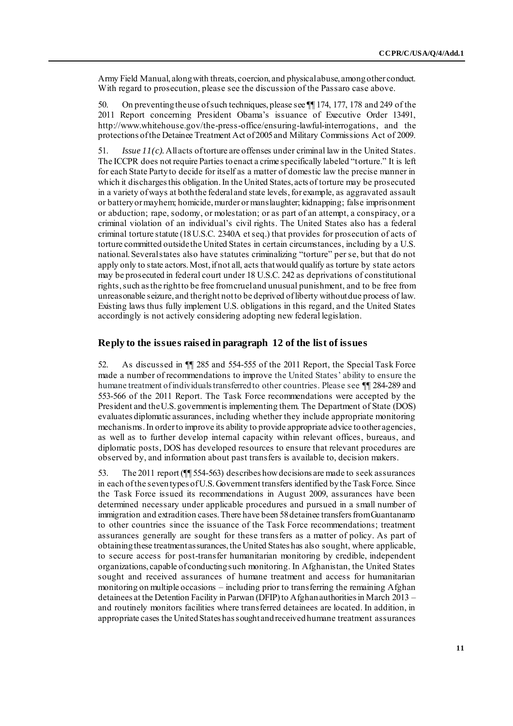Army Field Manual, along with threats, coercion, and physical abuse, among other conduct. With regard to prosecution, please see the discussion of the Passaro case above.

50. On preventing the use of such techniques, please see ¶¶ 174, 177, 178 and 249 of the 2011 Report concerning President Obama's issuance of Executive Order 13491, [http://www.whitehouse.gov/the-press-office/ensuring-lawful-interrogat](http://www.whitehouse.gov/the-press-office/ensuring-lawful-interrogations)ions, and the protections of the Detainee Treatment Act of 2005 and Military Commissions Act of 2009.

51. *Issue 11(c).*All acts of torture are offenses under criminal law in the United States. The ICCPR does not require Parties to enact a crime specifically labeled "torture." It is left for each State Party to decide for itself as a matter of domestic law the precise manner in which it discharges this obligation. In the United States, acts of torture may be prosecuted in a variety of ways at both the federal and state levels, for example, as aggravated assault or battery or mayhem; homicide, murder or manslaughter; kidnapping; false imprisonment or abduction; rape, sodomy, or molestation; or as part of an attempt, a conspiracy, or a criminal violation of an individual's civil rights. The United States also has a federal criminal torture statute (18 U.S.C. 2340A et seq.) that provides for prosecution of acts of torture committed outside the United States in certain circumstances, including by a U.S. national. Several states also have statutes criminalizing "torture" per se, but that do not apply only to state actors. Most, if not all, acts that would qualify as torture by state actors may be prosecuted in federal court under 18 U.S.C. 242 as deprivations of constitutional rights, such as the right to be free from cruel and unusual punishment, and to be free from unreasonable seizure, and the right not to be deprived of liberty without due process of law. Existing laws thus fully implement U.S. obligations in this regard, and the United States accordingly is not actively considering adopting new federal legislation.

#### **Reply to the issues raised in paragraph 12 of the list of issues**

52. As discussed in ¶¶ 285 and 554-555 of the 2011 Report, the Special Task Force made a number of recommendations to improve the United States' ability to ensure the humane treatment of individuals transferred to other countries. Please see ¶¶ 284-289 and 553-566 of the 2011 Report. The Task Force recommendations were accepted by the President and the U.S. government is implementing them. The Department of State (DOS) evaluates diplomatic assurances, including whether they include appropriate monitoring mechanisms. In order to improve its ability to provide appropriate advice to other agencies, as well as to further develop internal capacity within relevant offices, bureaus, and diplomatic posts, DOS has developed resources to ensure that relevant procedures are observed by, and information about past transfers is available to, decision makers.

53. The 2011 report (¶¶ 554-563) describes how decisions are made to seek assurances in each of the seven types of U.S. Government transfers identified by the Task Force. Since the Task Force issued its recommendations in August 2009, assurances have been determined necessary under applicable procedures and pursued in a small number of immigration and extradition cases. There have been 58 detainee transfers from Guantanamo to other countries since the issuance of the Task Force recommendations; treatment assurances generally are sought for these transfers as a matter of policy. As part of obtaining these treatment assurances, the United States has also sought, where applicable, to secure access for post-transfer humanitarian monitoring by credible, independent organizations, capable of conducting such monitoring. In Afghanistan, the United States sought and received assurances of humane treatment and access for humanitarian monitoring on multiple occasions – including prior to transferring the remaining Afghan detainees at the Detention Facility in Parwan (DFIP) to Afghan authorities in March 2013 – and routinely monitors facilities where transferred detainees are located. In addition, in appropriate cases the United States has sought and received humane treatment assurances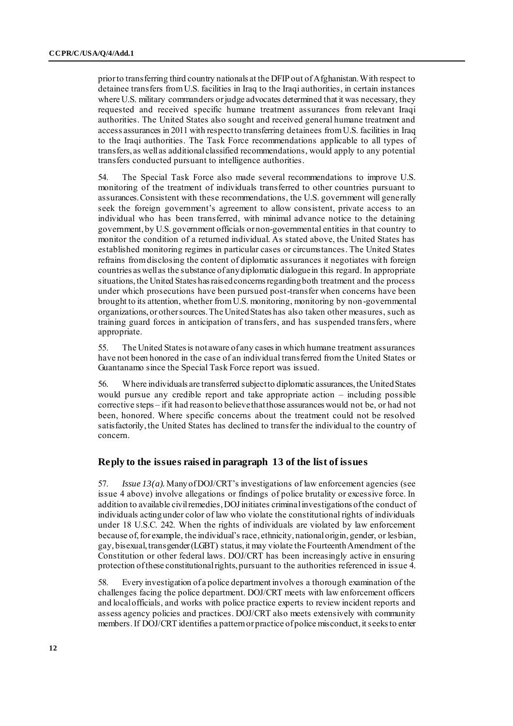prior to transferring third country nationals at the DFIP out of Afghanistan. With respect to detainee transfers from U.S. facilities in Iraq to the Iraqi authorities, in certain instances where U.S. military commanders or judge advocates determined that it was necessary, they requested and received specific humane treatment assurances from relevant Iraqi authorities. The United States also sought and received general humane treatment and access assurances in 2011 with respect to transferring detainees from U.S. facilities in Iraq to the Iraqi authorities. The Task Force recommendations applicable to all types of transfers, as well as additional classified recommendations, would apply to any potential transfers conducted pursuant to intelligence authorities.

54. The Special Task Force also made several recommendations to improve U.S. monitoring of the treatment of individuals transferred to other countries pursuant to assurances. Consistent with these recommendations, the U.S. government will generally seek the foreign government's agreement to allow consistent, private access to an individual who has been transferred, with minimal advance notice to the detaining government, by U.S. government officials or non-governmental entities in that country to monitor the condition of a returned individual. As stated above, the United States has established monitoring regimes in particular cases or circumstances. The United States refrains from disclosing the content of diplomatic assurances it negotiates with foreign countries as well as the substance of any diplomatic dialogue in this regard. In appropriate situations, the United States has raised concerns regarding both treatment and the process under which prosecutions have been pursued post-transfer when concerns have been brought to its attention, whether from U.S. monitoring, monitoring by non-governmental organizations, or other sources. The United States has also taken other measures, such as training guard forces in anticipation of transfers, and has suspended transfers, where appropriate.

55. The United States is not aware of any cases in which humane treatment assurances have not been honored in the case of an individual transferred from the United States or Guantanamo since the Special Task Force report was issued.

56. Where individuals are transferred subject to diplomatic assurances, the United States would pursue any credible report and take appropriate action – including possible corrective steps – if it had reason to believe that those assurances would not be, or had not been, honored. Where specific concerns about the treatment could not be resolved satisfactorily, the United States has declined to transfer the individual to the country of concern.

#### **Reply to the issues raised in paragraph 13 of the list of issues**

57. *Issue 13(a).*Many of DOJ/CRT's investigations of law enforcement agencies (see issue 4 above) involve allegations or findings of police brutality or excessive force. In addition to available civil remedies, DOJ initiates criminal investigations of the conduct of individuals acting under color of law who violate the constitutional rights of individuals under 18 U.S.C. 242. When the rights of individuals are violated by law enforcement because of, for example, the individual's race, ethnicity, national origin, gender, or lesbian, gay, bisexual, transgender (LGBT) status, it may violate the Fourteenth Amendment of the Constitution or other federal laws. DOJ/CRT has been increasingly active in ensuring protection of these constitutional rights, pursuant to the authorities referenced in issue 4.

58. Every investigation of a police department involves a thorough examination of the challenges facing the police department. DOJ/CRT meets with law enforcement officers and local officials, and works with police practice experts to review incident reports and assess agency policies and practices. DOJ/CRT also meets extensively with community members. If DOJ/CRT identifies a pattern or practice of police misconduct, it seeks to enter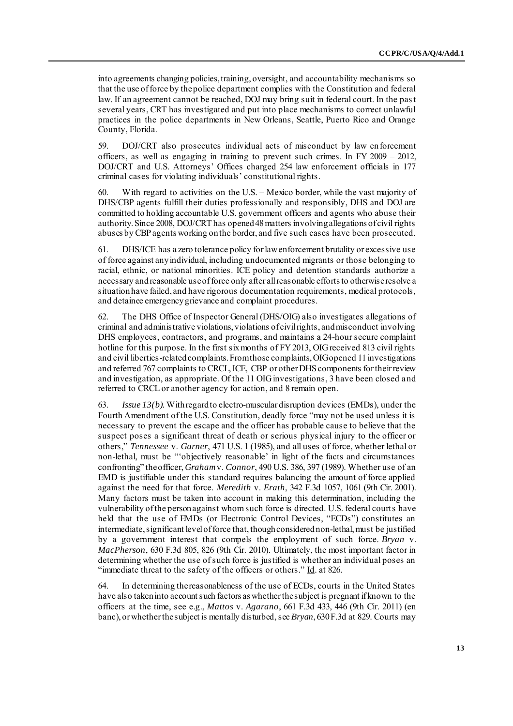into agreements changing policies, training, oversight, and accountability mechanisms so that the use of force by the police department complies with the Constitution and federal law. If an agreement cannot be reached, DOJ may bring suit in federal court. In the past several years, CRT has investigated and put into place mechanisms to correct unlawful practices in the police departments in New Orleans, Seattle, Puerto Rico and Orange County, Florida.

59. DOJ/CRT also prosecutes individual acts of misconduct by law enforcement officers, as well as engaging in training to prevent such crimes. In FY 2009 – 2012, DOJ/CRT and U.S. Attorneys' Offices charged 254 law enforcement officials in 177 criminal cases for violating individuals' constitutional rights.

60. With regard to activities on the U.S. – Mexico border, while the vast majority of DHS/CBP agents fulfill their duties professionally and responsibly, DHS and DOJ are committed to holding accountable U.S. government officers and agents who abuse their authority. Since 2008, DOJ/CRT has opened 48 matters involving allegations of civil rights abuses by CBP agents working on the border, and five such cases have been prosecuted.

61. DHS/ICE has a zero tolerance policy for law enforcement brutality or excessive use of force against any individual, including undocumented migrants or those belonging to racial, ethnic, or national minorities. ICE policy and detention standards authorize a necessary and reasonable use of force only after all reasonable efforts to otherwise resolve a situation have failed, and have rigorous documentation requirements, medical protocols, and detainee emergency grievance and complaint procedures.

62. The DHS Office of Inspector General (DHS/OIG) also investigates allegations of criminal and administrative violations, violations of civil rights, and misconduct involving DHS employees, contractors, and programs, and maintains a 24-hour secure complaint hotline for this purpose. In the first six months of FY 2013, OIG received 813 civil rights and civil liberties-related complaints. From those complaints, OIG opened 11 investigations and referred 767 complaints to CRCL, ICE, CBP or other DHS components for their review and investigation, as appropriate. Of the 11 OIG investigations, 3 have been closed and referred to CRCL or another agency for action, and 8 remain open.

63. *Issue 13(b).*With regard to electro-muscular disruption devices (EMDs), under the Fourth Amendment of the U.S. Constitution, deadly force "may not be used unless it is necessary to prevent the escape and the officer has probable cause to believe that the suspect poses a significant threat of death or serious physical injury to the officer or others," *Tennessee* v. *Garner*, 471 U.S. 1 (1985), and all uses of force, whether lethal or non-lethal, must be "'objectively reasonable' in light of the facts and circumstances confronting" the officer, *Graham*v. *Connor*, 490 U.S. 386, 397 (1989). Whether use of an EMD is justifiable under this standard requires balancing the amount of force applied against the need for that force. *Meredith* v. *Erath*, 342 F.3d 1057, 1061 (9th Cir. 2001). Many factors must be taken into account in making this determination, including the vulnerability of the person against whom such force is directed. U.S. federal courts have held that the use of EMDs (or Electronic Control Devices, "ECDs") constitutes an intermediate, significant level of force that, though considered non-lethal, must be justified by a government interest that compels the employment of such force. *Bryan* v. *MacPherson*, 630 F.3d 805, 826 (9th Cir. 2010). Ultimately, the most important factor in determining whether the use of such force is justified is whether an individual poses an "immediate threat to the safety of the officers or others." Id. at 826.

64. In determining the reasonableness of the use of ECDs, courts in the United States have also taken into account such factors as whether the subject is pregnant if known to the officers at the time, see e.g., *Mattos* v. *Agarano*, 661 F.3d 433, 446 (9th Cir. 2011) (en banc), or whether the subject is mentally disturbed, see *Bryan*, 630 F.3d at 829. Courts may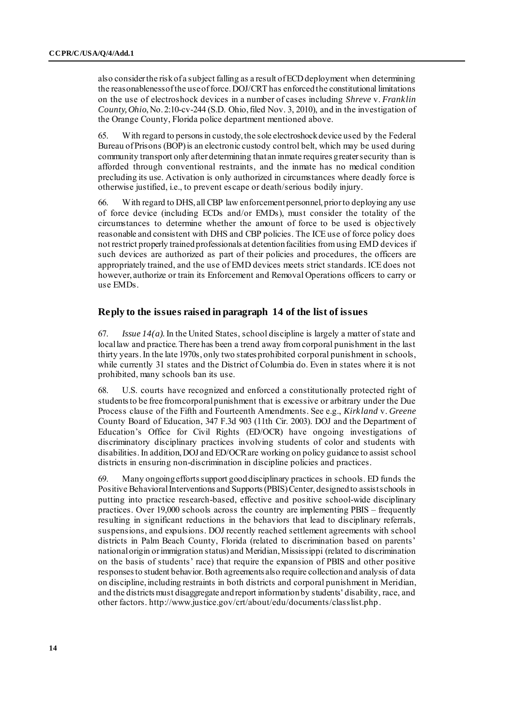also consider the risk of a subject falling as a result of ECD deployment when determining the reasonableness of the use of force. DOJ/CRT has enforced the constitutional limitations on the use of electroshock devices in a number of cases including *Shreve* v. *Franklin County, Ohio*, No. 2:10-cv-244 (S.D. Ohio, filed Nov. 3, 2010), and in the investigation of the Orange County, Florida police department mentioned above.

65. With regard to persons in custody, the sole electroshock device used by the Federal Bureau of Prisons (BOP) is an electronic custody control belt, which may be used during community transport only after determining that an inmate requires greater security than is afforded through conventional restraints, and the inmate has no medical condition precluding its use. Activation is only authorized in circumstances where deadly force is otherwise justified, i.e., to prevent escape or death/serious bodily injury.

66. With regard to DHS, all CBP law enforcement personnel, prior to deploying any use of force device (including ECDs and/or EMDs), must consider the totality of the circumstances to determine whether the amount of force to be used is objec tively reasonable and consistent with DHS and CBP policies. The ICE use of force policy does not restrict properly trained professionals at detention facilities from using EMD devices if such devices are authorized as part of their policies and procedures, the officers are appropriately trained, and the use of EMD devices meets strict standards. ICE does not however, authorize or train its Enforcement and Removal Operations officers to carry or use EMDs.

#### **Reply to the issues raised in paragraph 14 of the list of issues**

67. *Issue 14(a).*In the United States, school discipline is largely a matter of state and local law and practice. There has been a trend away from corporal punishment in the last thirty years. In the late 1970s, only two states prohibited corporal punishment in schools, while currently 31 states and the District of Columbia do. Even in states where it is not prohibited, many schools ban its use.

68. U.S. courts have recognized and enforced a constitutionally protected right of students to be free from corporal punishment that is excessive or arbitrary under the Due Process clause of the Fifth and Fourteenth Amendments. See e.g., *Kirkland* v. *Greene*  County Board of Education, 347 F.3d 903 (11th Cir. 2003). DOJ and the Department of Education's Office for Civil Rights (ED/OCR) have ongoing investigations of discriminatory disciplinary practices involving students of color and students with disabilities. In addition, DOJ and ED/OCR are working on policy guidance to assist school districts in ensuring non-discrimination in discipline policies and practices.

69. Many ongoing efforts support good disciplinary practices in schools. ED funds the Positive Behavioral Interventions and Supports (PBIS) Center, designed to assist schools in putting into practice research-based, effective and positive school-wide disciplinary practices. Over 19,000 schools across the country are implementing PBIS – frequently resulting in significant reductions in the behaviors that lead to disciplinary referrals, suspensions, and expulsions. DOJ recently reached settlement agreements with school districts in Palm Beach County, Florida (related to discrimination based on parents' national origin or immigration status) and Meridian, Mississippi (related to discrimination on the basis of students' race) that require the expansion of PBIS and other positive responses to student behavior. Both agreements also require collection and analysis of data on discipline, including restraints in both districts and corporal punishment in Meridian, and the districts must disaggregate and report information by students' disability, race, and other factor[s. http://www.justice.gov/crt/about/edu/documents/classlis](http://www.justice.gov/crt/about/edu/documents/classlist.php)t.php.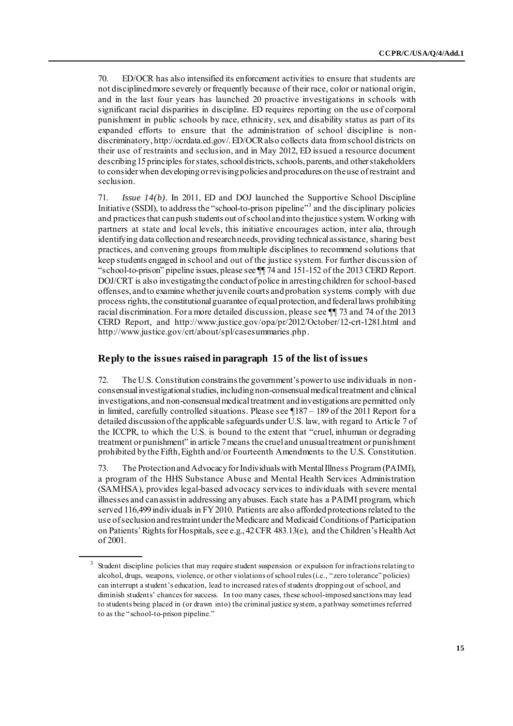70. ED/OCR has also intensified its enforcement activities to ensure that students are not disciplined more severely or frequently because of their race, color or national origin, and in the last four years has launched 20 proactive investigations in schools with significant racial disparities in discipline. ED requires reporting on the use of corporal punishment in public schools by race, ethnicity, sex, and disability status as part of its expanded efforts to ensure that the administration of school discipline is nondiscriminatory[, http://ocrdata.ed.gov/.](http://ocrdata.ed.gov/) ED/OCR also collects data from school districts on their use of restraints and seclusion, and in May 2012, ED issued a resource document describing 15 principles for states, school districts, schools, parents, and other stakeholders to consider when developing or revising policies and procedures on the use of restraint and seclusion.

71. *Issue 14(b).* In 2011, ED and DOJ launched the Supportive School Discipline Initiative (SSDI), to address the "school-to-prison pipeline"<sup>3</sup> and the disciplinary policies and practices that can push students out of school and into the justice system. Working with partners at state and local levels, this initiative encourages action, inter alia, through identifying data collection and research needs, providing technical assistance, sharing best practices, and convening groups from multiple disciplines to recommend solutions that keep students engaged in school and out of the justice system. For further discussion of "school-to-prison" pipeline issues, please see ¶¶ 74 and 151-152 of the 2013 CERD Report. DOJ/CRT is also investigating the conduct of police in arresting children for school-based offenses, and to examine whether juvenile courts and probation systems comply with due process rights, the constitutional guarantee of equal protection, and federal laws prohibiting racial discrimination. For a more detailed discussion, please see ¶¶ 73 and 74 of the 2013 CERD Report, and h[ttp://www.justice.gov/opa/pr/2012/October/12-crt-1281.html](http://www.justice.gov/opa/pr/2012/October/12-crt-1281.html) and [http://www.justice.gov/crt/about/spl/casesummaries.p](http://www.justice.gov/crt/about/spl/casesummaries.php)hp.

# **Reply to the issues raised in paragraph 15 of the list of issues**

72. The U.S. Constitution constrains the government's power to use individuals in nonconsensual investigational studies, including non-consensual medical treatment and clinical investigations, and non-consensual medical treatment and investigations are permitted only in limited, carefully controlled situations. Please see ¶187 – 189 of the 2011 Report for a detailed discussion of the applicable safeguards under U.S. law, with regard to Article 7 of the ICCPR, to which the U.S. is bound to the extent that "cruel, inhuman or degrading treatment or punishment" in article 7 means the cruel and unusual treatment or punishment prohibited by the Fifth, Eighth and/or Fourteenth Amendments to the U.S. Constitution.

73. The Protection and Advocacy for Individuals with Mental Illness Program (PAIMI), a program of the HHS Substance Abuse and Mental Health Services Administration (SAMHSA), provides legal-based advocacy services to individuals with severe mental illnesses and can assist in addressing any abuses. Each state has a PAIMI program, which served 116,499 individuals in FY 2010. Patients are also afforded protections related to the use of seclusion and restraint under the Medicare and Medicaid Conditions of Participation on Patients' Rights for Hospitals, see e.g., 42 CFR 483.13(e), and the Children's Health Act of 2001.

<sup>&</sup>lt;sup>3</sup> Student discipline policies that may require student suspension or expulsion for infractions relating to alcohol, drugs, weapons, violence, or other violations of school rules (i.e., "zero tolerance" policies) can interrupt a student's education, lead to increased rates of students dropping out of school, and diminish students' chances for success. In too many cases, these school-imposed sanctions may lead to students being placed in (or drawn into) the criminal justice system, a pathway sometimes referred to as the "school-to-prison pipeline."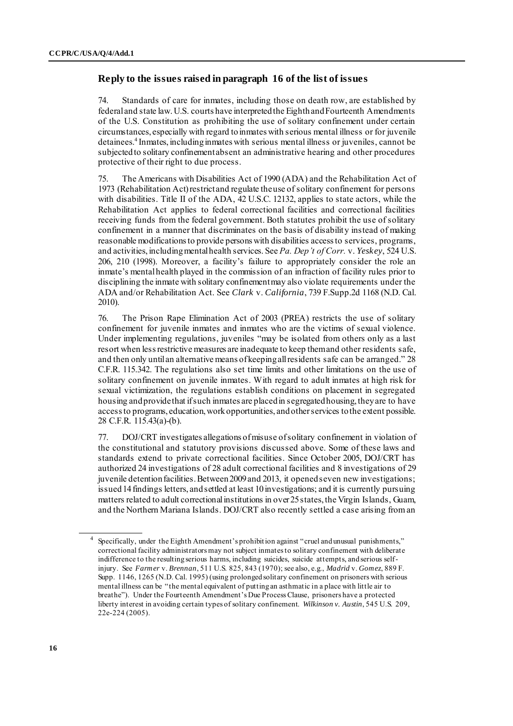# **Reply to the issues raised in paragraph 16 of the list of issues**

74. Standards of care for inmates, including those on death row, are established by federal and state law. U.S. courts have interpreted the Eighth and Fourteenth Amendments of the U.S. Constitution as prohibiting the use of solitary confinement under certain circumstances, especially with regard to inmates with serious mental illness or for juvenile detainees.<sup>4</sup> Inmates, including inmates with serious mental illness or juveniles, cannot be subjected to solitary confinement absent an administrative hearing and other procedures protective of their right to due process.

75. The Americans with Disabilities Act of 1990 (ADA) and the Rehabilitation Act of 1973 (Rehabilitation Act) restrict and regulate the use of solitary confinement for persons with disabilities. Title II of the ADA, 42 U.S.C. 12132, applies to state actors, while the Rehabilitation Act applies to federal correctional facilities and correctional facilities receiving funds from the federal government. Both statutes prohibit the use of solitary confinement in a manner that discriminates on the basis of disability instead of making reasonable modifications to provide persons with disabilities access to services, programs, and activities, including mental health services. See *Pa. Dep't of Corr.* v. *Yeskey*, 524 U.S. 206, 210 (1998). Moreover, a facility's failure to appropriately consider the role an inmate's mental health played in the commission of an infraction of facility rules prior to disciplining the inmate with solitary confinement may also violate requirements under the ADA and/or Rehabilitation Act. See *Clark* v. *California*, 739 F.Supp.2d 1168 (N.D. Cal. 2010).

76. The Prison Rape Elimination Act of 2003 (PREA) restricts the use of solitary confinement for juvenile inmates and inmates who are the victims of sexual violence. Under implementing regulations, juveniles "may be isolated from others only as a last resort when less restrictive measures are inadequate to keep them and other residents safe, and then only until an alternative means of keeping all residents safe can be arranged." 28 C.F.R. 115.342. The regulations also set time limits and other limitations on the use of solitary confinement on juvenile inmates. With regard to adult inmates at high risk for sexual victimization, the regulations establish conditions on placement in segregated housing and provide that if such inmates are placed in segregated housing, they are to have access to programs, education, work opportunities, and other services to the extent possible. 28 C.F.R. 115.43(a)-(b).

77. DOJ/CRT investigates allegations of misuse of solitary confinement in violation of the constitutional and statutory provisions discussed above. Some of these laws and standards extend to private correctional facilities. Since October 2005, DOJ/CRT has authorized 24 investigations of 28 adult correctional facilities and 8 investigations of 29 juvenile detention facilities. Between 2009 and 2013, it opened seven new investigations; issued 14 findings letters, and settled at least 10 investigations; and it is currently pursuing matters related to adult correctional institutions in over 25 states, the Virgin Islands, Guam, and the Northern Mariana Islands. DOJ/CRT also recently settled a case arising from an

<sup>4</sup> Specifically, under the Eighth Amendment's prohibit ion against "cruel and unusual punishments," correctional facility administrators may not subject inmates to solitary confinement with deliberate indifference to the resulting serious harms, including suicides, suicide attempts, and serious selfinjury. See *Farmer* v. *Brennan*, 511 U.S. 825, 843 (1970); see also, e.g., *Madrid* v. *Gomez*, 889 F. Supp. 1146, 1265 (N.D. Cal. 1995) (using prolonged solitary confinement on prisoners with serious mental illness can be "the mental equivalent of putting an asthmatic in a place with little air to breathe"). Under the Fourteenth Amendment's Due Process Clause, prisoners have a protected liberty interest in avoiding certain types of solitary confinement. *Wilkinson v. Austin*, 545 U.S. 209, 22e-224 (2005).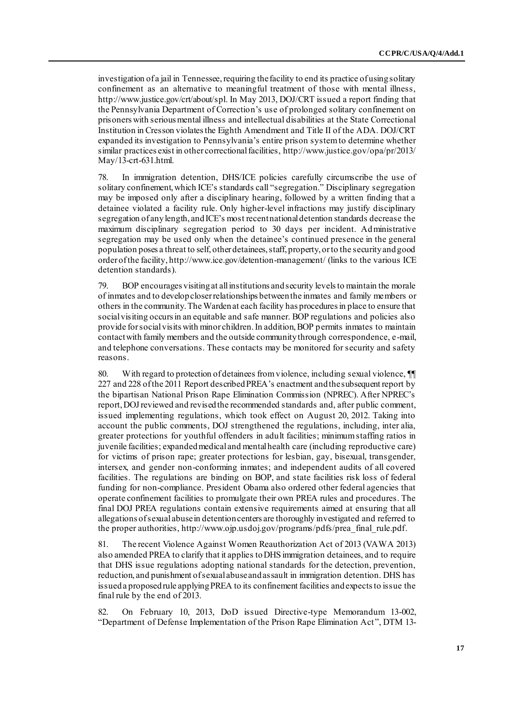investigation of a jail in Tennessee, requiring the facility to end its practice of using solitary confinement as an alternative to meaningful treatment of those with mental illness, <http://www.justice.gov/crt/about/spl>. In May 2013, DOJ/CRT issued a report finding that the Pennsylvania Department of Correction's use of prolonged solitary confinement on prisoners with serious mental illness and intellectual disabilities at the State Correctional Institution in Cresson violates the Eighth Amendment and Title II of the ADA. DOJ/CRT expanded its investigation to Pennsylvania's entire prison system to determine whether similar practices exist in other correctional facilities, h[ttp://www.justice.gov/opa/pr/2013/](http://www.justice.gov/opa/pr/2013/May/13-crt-631.html) [May/13-crt-631.html.](http://www.justice.gov/opa/pr/2013/May/13-crt-631.html)

78. In immigration detention, DHS/ICE policies carefully circumscribe the use of solitary confinement, which ICE's standards call "segregation." Disciplinary segregation may be imposed only after a disciplinary hearing, followed by a written finding that a detainee violated a facility rule. Only higher-level infractions may justify disciplinary segregation of any length, and ICE's most recent national detention standards decrease the maximum disciplinary segregation period to 30 days per incident. Administrative segregation may be used only when the detainee's continued presence in the general population poses a threat to self, other detainees, staff, property, or to the security and good order of the facility, <http://www.ice.gov/detention-management/> (links to the various ICE detention standards).

79. BOP encourages visiting at all institutions and security levels to maintain the morale of inmates and to develop closer relationships between the inmates and family members or others in the community. The Warden at each facility has procedures in place to ensure that social visiting occurs in an equitable and safe manner. BOP regulations and policies also provide for social visits with minor children. In addition, BOP permits inmates to maintain contact with family members and the outside community through correspondence, e-mail, and telephone conversations. These contacts may be monitored for security and safety reasons.

80. With regard to protection of detainees from violence, including sexual violence,  $\P$ 227 and 228 of the 2011 Report described PREA's enactment and the subsequent report by the bipartisan National Prison Rape Elimination Commission (NPREC). After NPREC's report, DOJ reviewed and revised the recommended standards and, after public comment, issued implementing regulations, which took effect on August 20, 2012. Taking into account the public comments, DOJ strengthened the regulations, including, inter alia, greater protections for youthful offenders in adult facilities; minimum staffing ratios in juvenile facilities; expanded medical and mental health care (including reproductive care) for victims of prison rape; greater protections for lesbian, gay, bisexual, transgender, intersex, and gender non-conforming inmates; and independent audits of all covered facilities. The regulations are binding on BOP, and state facilities risk loss of federal funding for non-compliance. President Obama also ordered other federal agencies that operate confinement facilities to promulgate their own PREA rules and procedures. The final DOJ PREA regulations contain extensive requirements aimed at ensuring that all allegations of sexual abuse in detention centers are thoroughly investigated and referred to the proper authorities, htt[p://www.ojp.usdoj.gov/programs/pdfs/prea\\_final\\_rule](http://www.ojp.usdoj.gov/programs/pdfs/prea_final_rule.pdf).pdf.

81. The recent Violence Against Women Reauthorization Act of 2013 (VAWA 2013) also amended PREA to clarify that it applies to DHS immigration detainees, and to require that DHS issue regulations adopting national standards for the detection, prevention, reduction, and punishment of sexual abuse and assault in immigration detention. DHS has issued a proposed rule applying PREA to its confinement facilities and expects to issue the final rule by the end of 2013.

82. On February 10, 2013, DoD issued Directive-type Memorandum 13-002, "Department of Defense Implementation of the Prison Rape Elimination Act", DTM 13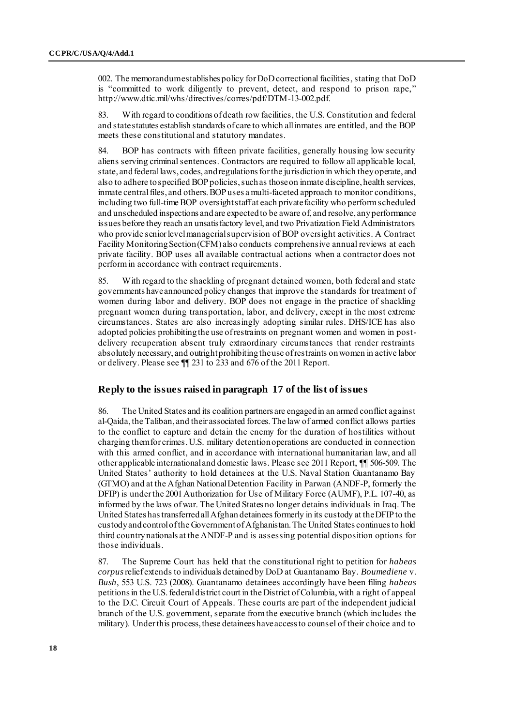002. The memorandum establishes policy for DoD correctional facilities, stating that DoD is "committed to work diligently to prevent, detect, and respond to prison rape," [http://www.dtic.mil/whs/directives/corres/pdf/DTM-13-002.p](http://www.dtic.mil/whs/directives/corres/pdf/DTM-13-002.pdf)df.

83. With regard to conditions of death row facilities, the U.S. Constitution and federal and state statutes establish standards of care to which all inmates are entitled, and the BOP meets these constitutional and statutory mandates.

84. BOP has contracts with fifteen private facilities, generally housing low security aliens serving criminal sentences. Contractors are required to follow all applicable local, state, and federal laws, codes, and regulations for the jurisdiction in which they operate, and also to adhere to specified BOP policies, such as those on inmate discipline, health services, inmate central files, and others. BOP uses a multi-faceted approach to monitor conditions, including two full-time BOP oversight staff at each private facility who perform scheduled and unscheduled inspections and are expected to be aware of, and resolve, any performance issues before they reach an unsatisfactory level, and two Privatization Field Administrators who provide senior level managerial supervision of BOP oversight activities. A Contract Facility Monitoring Section (CFM) also conducts comprehensive annual reviews at each private facility. BOP uses all available contractual actions when a contractor does not perform in accordance with contract requirements.

85. With regard to the shackling of pregnant detained women, both federal and state governments have announced policy changes that improve the standards for treatment of women during labor and delivery. BOP does not engage in the practice of shackling pregnant women during transportation, labor, and delivery, except in the most extreme circumstances. States are also increasingly adopting similar rules. DHS/ICE has also adopted policies prohibiting the use of restraints on pregnant women and women in postdelivery recuperation absent truly extraordinary circumstances that render restraints absolutely necessary, and outright prohibiting the use of restraints on women in active labor or delivery. Please see ¶¶ 231 to 233 and 676 of the 2011 Report.

# **Reply to the issues raised in paragraph 17 of the list of issues**

86. The United States and its coalition partners are engaged in an armed conflict against al-Qaida, the Taliban, and their associated forces. The law of armed conflict allows parties to the conflict to capture and detain the enemy for the duration of hostilities without charging them for crimes. U.S. military detention operations are conducted in connection with this armed conflict, and in accordance with international humanitarian law, and all other applicable international and domestic laws. Please see 2011 Report, ¶¶ 506-509. The United States' authority to hold detainees at the U.S. Naval Station Guantanamo Bay (GTMO) and at the Afghan National Detention Facility in Parwan (ANDF-P, formerly the DFIP) is under the 2001 Authorization for Use of Military Force (AUMF), P.L. 107-40, as informed by the laws of war. The United States no longer detains individuals in Iraq. The United States has transferred all Afghan detainees formerly in its custody at the DFIP to the custody and control of the Government of Afghanistan. The United States continues to hold third country nationals at the ANDF-P and is assessing potential disposition options for those individuals.

87. The Supreme Court has held that the constitutional right to petition for *habeas corpus*relief extends to individuals detained by DoD at Guantanamo Bay. *Boumediene* v. *Bush*, 553 U.S. 723 (2008). Guantanamo detainees accordingly have been filing *habeas*  petitions in the U.S. federal district court in the District of Columbia, with a right of appeal to the D.C. Circuit Court of Appeals. These courts are part of the independent judicial branch of the U.S. government, separate from the executive branch (which includes the military). Under this process, these detainees have access to counsel of their choice and to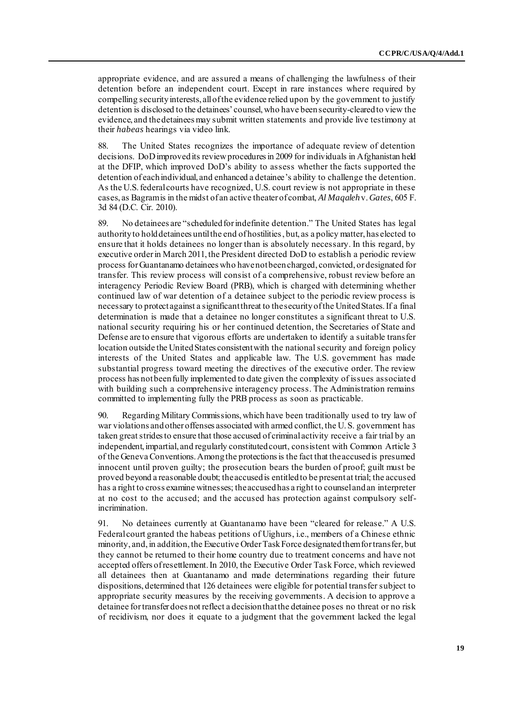appropriate evidence, and are assured a means of challenging the lawfulness of their detention before an independent court. Except in rare instances where required by compelling security interests, all of the evidence relied upon by the government to justify detention is disclosed to the detainees' counsel, who have been security-cleared to view the evidence, and the detainees may submit written statements and provide live testimony at their *habeas* hearings via video link.

88. The United States recognizes the importance of adequate review of detention decisions. DoD improved its review procedures in 2009 for individuals in Afghanistan held at the DFIP, which improved DoD's ability to assess whether the facts supported the detention of each individual, and enhanced a detainee's ability to challenge the detention. As the U.S. federal courts have recognized, U.S. court review is not appropriate in these cases, as Bagram is in the midst of an active theater of combat, *Al Maqaleh* v.*Gates*, 605 F. 3d 84 (D.C. Cir. 2010).

89. No detainees are "scheduled for indefinite detention." The United States has legal authority to hold detainees until the end of hostilities, but, as a policy matter, has elected to ensure that it holds detainees no longer than is absolutely necessary. In this regard, by executive order in March 2011, the President directed DoD to establish a periodic review process for Guantanamo detainees who have not been charged, convicted, or designated for transfer. This review process will consist of a comprehensive, robust review before an interagency Periodic Review Board (PRB), which is charged with determining whether continued law of war detention of a detainee subject to the periodic review process is necessary to protect against a significant threat to the security of the United States. If a final determination is made that a detainee no longer constitutes a significant threat to U.S. national security requiring his or her continued detention, the Secretaries of State and Defense are to ensure that vigorous efforts are undertaken to identify a suitable transfer location outside the United States consistent with the national security and foreign policy interests of the United States and applicable law. The U.S. government has made substantial progress toward meeting the directives of the executive order. The review process has not been fully implemented to date given the complexity of issues associated with building such a comprehensive interagency process. The Administration remains committed to implementing fully the PRB process as soon as practicable.

90. Regarding Military Commissions, which have been traditionally used to try law of war violations and other offenses associated with armed conflict, the U. S. government has taken great strides to ensure that those accused of criminal activity receive a fair trial by an independent, impartial, and regularly constituted court, consistent with Common Article 3 of the Geneva Conventions. Among the protections is the fact that the accused is presumed innocent until proven guilty; the prosecution bears the burden of proof; guilt must be proved beyond a reasonable doubt; the accused is entitled to be present at trial; the accused has a right to cross examine witnesses; the accused has a right to counsel and an interpreter at no cost to the accused; and the accused has protection against compulsory selfincrimination.

91. No detainees currently at Guantanamo have been "cleared for release." A U.S. Federal court granted the habeas petitions of Uighurs, i.e., members of a Chinese ethnic minority, and, in addition, the Executive Order Task Force designated them for transfer, but they cannot be returned to their home country due to treatment concerns and have not accepted offers of resettlement. In 2010, the Executive Order Task Force, which reviewed all detainees then at Guantanamo and made determinations regarding their future dispositions, determined that 126 detainees were eligible for potential transfer subject to appropriate security measures by the receiving governments. A decision to approve a detainee for transfer does not reflect a decision that the detainee poses no threat or no risk of recidivism, nor does it equate to a judgment that the government lacked the legal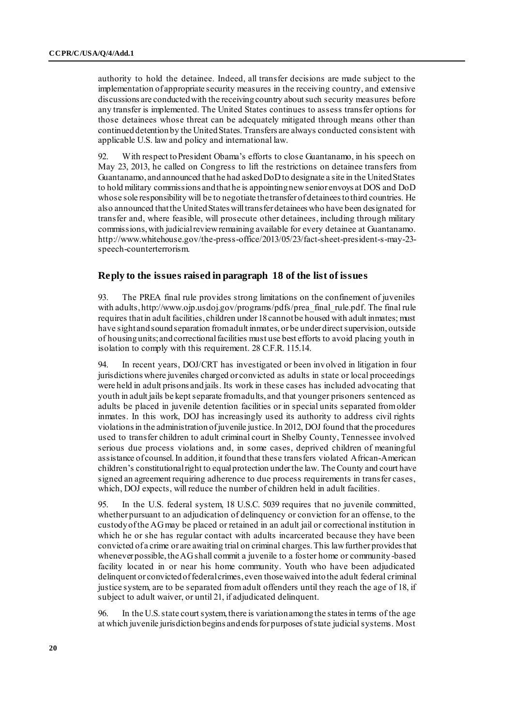authority to hold the detainee. Indeed, all transfer decisions are made subject to the implementation of appropriate security measures in the receiving country, and extensive discussions are conducted with the receiving country about such security measures before any transfer is implemented. The United States continues to assess transfer options for those detainees whose threat can be adequately mitigated through means other than continued detention by the United States. Transfers are always conducted consistent with applicable U.S. law and policy and international law.

92. With respect to President Obama's efforts to close Guantanamo, in his speech on May 23, 2013, he called on Congress to lift the restrictions on detainee transfers from Guantanamo, and announced that he had asked DoD to designate a site in the United States to hold military commissions and that he is appointing new senior envoys at DOS and DoD whose sole responsibility will be to negotiate the transfer of detainees to third countries. He also announced that the United States will transfer detainees who have been designated for transfer and, where feasible, will prosecute other detainees, including through military commissions, with judicial review remaining available for every detainee at Guantanamo. [http://www.whitehouse.gov/the-press-office/2013/05/23/fact-sheet-president-s-may-23](http://www.whitehouse.gov/the-press-office/2013/05/23/fact-sheet-‌president-s-may-23-speech-counterterrorism) [speech-counterterrorism](http://www.whitehouse.gov/the-press-office/2013/05/23/fact-sheet-‌president-s-may-23-speech-counterterrorism).

### **Reply to the issues raised in paragraph 18 of the list of issues**

93. The PREA final rule provides strong limitations on the confinement of juveniles with adults, http://[www.ojp.usdoj.gov/programs/pdfs/prea\\_final\\_rule.pd](http://www.ojp.usdoj.gov/programs/pdfs/prea_final_rule.pdf)f. The final rule requires that in adult facilities, children under 18 cannot be housed with adult inmates; must have sight and sound separation from adult inmates, or be under direct supervision, outside of housing units; and correctional facilities must use best efforts to avoid placing youth in isolation to comply with this requirement. 28 C.F.R. 115.14.

94. In recent years, DOJ/CRT has investigated or been involved in litigation in four jurisdictions where juveniles charged or convicted as adults in state or local proceedings were held in adult prisons and jails. Its work in these cases has included advocating that youth in adult jails be kept separate from adults, and that younger prisoners sentenced as adults be placed in juvenile detention facilities or in special units separated from older inmates. In this work, DOJ has increasingly used its authority to address civil rights violations in the administration of juvenile justice. In 2012, DOJ found that the procedures used to transfer children to adult criminal court in Shelby County, Tennessee involved serious due process violations and, in some cases, deprived children of meaningful assistance of counsel. In addition, it found that these transfers violated African-American children's constitutional right to equal protection under the law. The County and court have signed an agreement requiring adherence to due process requirements in transfer cases, which, DOJ expects, will reduce the number of children held in adult facilities.

95. In the U.S. federal system, 18 U.S.C. 5039 requires that no juvenile committed, whether pursuant to an adjudication of delinquency or conviction for an offense, to the custody of the AG may be placed or retained in an adult jail or correctional institution in which he or she has regular contact with adults incarcerated because they have been convicted of a crime or are awaiting trial on criminal charges. This law further provides that whenever possible, the AG shall commit a juvenile to a foster home or community-based facility located in or near his home community. Youth who have been adjudicated delinquent or convicted of federal crimes, even those waived into the adult federal criminal justice system, are to be separated from adult offenders until they reach the age of 18, if subject to adult waiver, or until 21, if adjudicated delinquent.

96. In the U.S. state court system, there is variation among the states in terms of the age at which juvenile jurisdiction begins and ends for purposes of state judicial systems. Most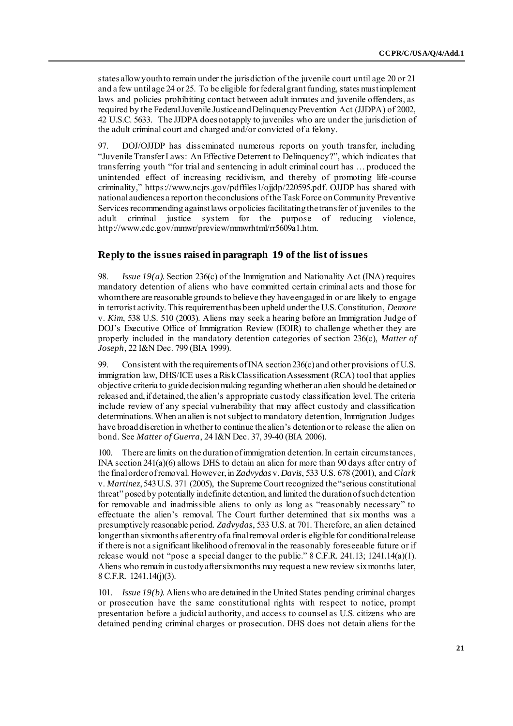states allow youth to remain under the jurisdiction of the juvenile court until age 20 or 21 and a few until age 24 or 25. To be eligible for federal grant funding, states must implement laws and policies prohibiting contact between adult inmates and juvenile offenders, as required by the Federal Juvenile Justice and Delinquency Prevention Act (JJDPA) of 2002, 42 U.S.C. 5633. The JJDPA does not apply to juveniles who are under the jurisdiction of the adult criminal court and charged and/or convicted of a felony.

97. DOJ/OJJDP has disseminated numerous reports on youth transfer, including "Juvenile Transfer Laws: An Effective Deterrent to Delinquency?", which indicates that transferring youth "for trial and sentencing in adult criminal court has … produced the unintended effect of increasing recidivism, and thereby of promoting life -course criminality," [https://www.ncjrs.gov/pdffiles1/ojjdp/220595.pd](https://www.ncjrs.gov/pdffiles1/ojjdp/220595.pdf)f. OJJDP has shared with national audiences a report on the conclusions of the Task Force on Community Preventive Services recommending against laws or policies facilitating the transfer of juveniles to the adult criminal justice system for the purpose of reducing violence, [http://www.cdc.gov/mmwr/preview/mmwrhtml/rr5609a1.htm](http://www.cdc.gov.mmwr/preview/mmwrhtml/rr5609a1.htm).

# **Reply to the issues raised in paragraph 19 of the list of issues**

98. *Issue 19(a).* Section 236(c) of the Immigration and Nationality Act (INA) requires mandatory detention of aliens who have committed certain criminal acts and those for whom there are reasonable grounds to believe they have engaged in or are likely to engage in terrorist activity. This requirement has been upheld under the U.S. Constitution, *Demore*  v. *Kim*, 538 U.S. 510 (2003). Aliens may seek a hearing before an Immigration Judge of DOJ's Executive Office of Immigration Review (EOIR) to challenge whether they are properly included in the mandatory detention categories of section 236(c), *Matter of Joseph*, 22 I&N Dec. 799 (BIA 1999).

99. Consistent with the requirements of INA section  $236(c)$  and other provisions of U.S. immigration law, DHS/ICE uses a Risk Classification Assessment (RCA) tool that applies objective criteria to guide decision making regarding whether an alien should be detained or released and, if detained, the alien's appropriate custody classification level. The criteria include review of any special vulnerability that may affect custody and classification determinations. When an alien is not subject to mandatory detention, Immigration Judges have broad discretion in whether to continue the alien's detention or to release the alien on bond. See *Matter of Guerra*, 24 I&N Dec. 37, 39-40 (BIA 2006).

100. There are limits on the duration of immigration detention. In certain circumstances, INA section 241(a)(6) allows DHS to detain an alien for more than 90 days after entry of the final order of removal. However, in *Zadvydas* v. *Davis*, 533 U.S. 678 (2001), and *Clark*  v. *Martinez*, 543 U.S. 371 (2005), the Supreme Court recognized the "serious constitutional threat" posed by potentially indefinite detention, and limited the duration of such detention for removable and inadmissible aliens to only as long as "reasonably necessary" to effectuate the alien's removal. The Court further determined that six months was a presumptively reasonable period. *Zadvydas*, 533 U.S. at 701. Therefore, an alien detained longer than six months after entry of a final removal order is eligible for conditional release if there is not a significant likelihood of removal in the reasonably foreseeable future or if release would not "pose a special danger to the public." 8 C.F.R. 241.13; 1241.14(a)(1). Aliens who remain in custody after six months may request a new review six months later, 8 C.F.R. 1241.14(j)(3).

101. *Issue 19(b).* Aliens who are detained in the United States pending criminal charges or prosecution have the same constitutional rights with respect to notice, prompt presentation before a judicial authority, and access to counsel as U.S. citizens who are detained pending criminal charges or prosecution. DHS does not detain aliens for the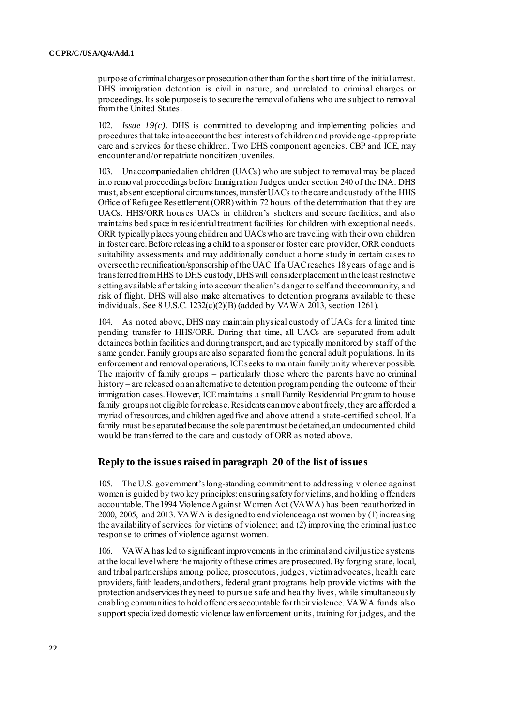purpose of criminal charges or prosecution other than for the short time of the initial arrest. DHS immigration detention is civil in nature, and unrelated to criminal charges or proceedings. Its sole purpose is to secure the removal of aliens who are subject to removal from the United States.

*Issue*  $19(c)$ *.* DHS is committed to developing and implementing policies and procedures that take into account the best interests of children and provide age-appropriate care and services for these children. Two DHS component agencies, CBP and ICE, may encounter and/or repatriate noncitizen juveniles.

103. Unaccompanied alien children (UACs) who are subject to removal may be placed into removal proceedings before Immigration Judges under section 240 of the INA. DHS must, absent exceptional circumstances, transfer UACs to the care and custody of the HHS Office of Refugee Resettlement (ORR) within 72 hours of the determination that they are UACs. HHS/ORR houses UACs in children's shelters and secure facilities, and also maintains bed space in residential treatment facilities for children with exceptional needs. ORR typically places young children and UACs who are traveling with their own children in foster care. Before releasing a child to a sponsor or foster care provider, ORR conducts suitability assessments and may additionally conduct a home study in certain cases to oversee the reunification/sponsorship of the UAC. If a UAC reaches 18 years of age and is transferred from HHS to DHS custody, DHS will consider placement in the least restrictive setting available after taking into account the alien's danger to self and the community, and risk of flight. DHS will also make alternatives to detention programs available to these individuals. See 8 U.S.C. 1232(c)(2)(B) (added by VAWA 2013, section 1261).

104. As noted above, DHS may maintain physical custody of UACs for a limited time pending transfer to HHS/ORR. During that time, all UACs are separated from adult detainees both in facilities and during transport, and are typically monitored by staff of the same gender. Family groups are also separated from the general adult populations. In its enforcement and removal operations, ICE seeks to maintain family unity wherever possible. The majority of family groups – particularly those where the parents have no criminal history – are released on an alternative to detention program pending the outcome of their immigration cases. However, ICE maintains a small Family Residential Program to house family groups not eligible for release. Residents can move about freely, they are afforded a myriad of resources, and children aged five and above attend a state-certified school. If a family must be separated because the sole parent must be detained, an undocumented child would be transferred to the care and custody of ORR as noted above.

#### **Reply to the issues raised in paragraph 20 of the list of issues**

105. The U.S. government's long-standing commitment to addressing violence against women is guided by two key principles: ensuring safety for victims, and holding offenders accountable. The 1994 Violence Against Women Act (VAWA) has been reauthorized in 2000, 2005, and 2013. VAWA is designed to end violence against women by (1) increasing the availability of services for victims of violence; and (2) improving the criminal justice response to crimes of violence against women.

106. VAWA has led to significant improvements in the criminal and civil justice systems at the local level where the majority of these crimes are prosecuted. By forging state, local, and tribal partnerships among police, prosecutors, judges, victim advocates, health care providers, faith leaders, and others, [federal grant programs](http://www.ovw.usdoj.gov/ovwgrantprograms.htm) help provide victims with the protection and services they need to pursue safe and healthy lives, while simultaneously enabling communities to hold offenders accountable for their violence. VAWA funds also support specialized domestic violence law enforcement units, training for judges, and the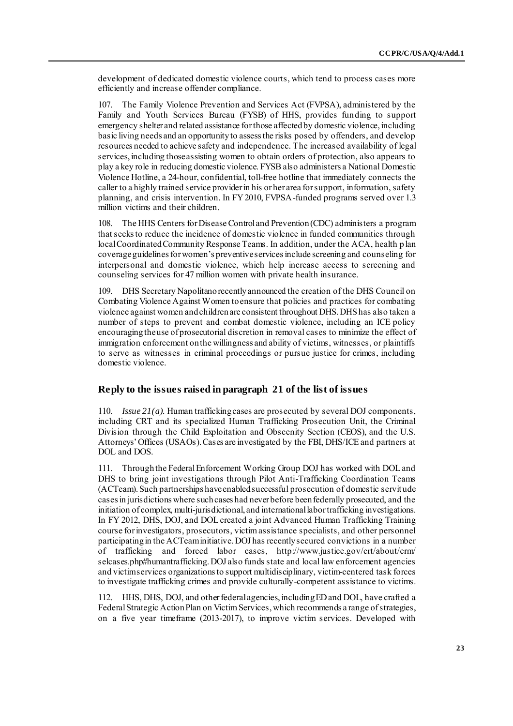development of dedicated domestic violence courts, which tend to process cases more efficiently and increase offender compliance.

107. The Family Violence Prevention and Services Act (FVPSA), administered by the Family and Youth Services Bureau (FYSB) of HHS, provides funding to support emergency shelter and related assistance for those affected by domestic violence, including basic living needs and an opportunity to assess the risks posed by offenders, and develop resources needed to achieve safety and independence. The increased availability of legal services, including those assisting women to obtain orders of protection, also appears to play a key role in reducing domestic violence. FYSB also administers a National Domestic Violence Hotline, a 24-hour, confidential, toll-free hotline that immediately connects the caller to a highly trained service provider in his or her area for support, information, safety planning, and crisis intervention. In FY 2010, FVPSA-funded programs served over 1.3 million victims and their children.

108. The HHS Centers for Disease Control and Prevention (CDC) administers a program that seeks to reduce the incidence of domestic violence in funded communities through local Coordinated Community Response Teams. In addition, under the ACA, health plan coverage guidelines for women's preventive services include screening and counseling for interpersonal and domestic violence, which help increase access to screening and counseling services for 47 million women with private health insurance.

109. DHS Secretary Napolitano recently announced the creation of the DHS Council on Combating Violence Against Women to ensure that policies and practices for combating violence against women and children are consistent throughout DHS. DHS has also taken a number of steps to prevent and combat domestic violence, including an ICE policy encouraging the use of prosecutorial discretion in removal cases to minimize the effect of immigration enforcement on the willingness and ability of victims, witnesses, or plaintiffs to serve as witnesses in criminal proceedings or pursue justice for crimes, including domestic violence.

# **Reply to the issues raised in paragraph 21 of the list of issues**

110. *Issue 21(a).* Human trafficking cases are prosecuted by several DOJ components, including CRT and its specialized Human Trafficking Prosecution Unit, the Criminal Division through the Child Exploitation and Obscenity Section (CEOS), and the U.S. Attorneys' Offices (USAOs). Cases are investigated by the FBI, DHS/ICE and partners at DOL and DOS.

111. Through the Federal Enforcement Working Group DOJ has worked with DOL and DHS to bring joint investigations through Pilot Anti-Trafficking Coordination Teams (ACTeam). Such partnerships have enabled successful prosecution of domestic servitude cases in jurisdictions where such cases had never before been federally prosecuted, and the initiation of complex, multi-jurisdictional, and international labor trafficking investigations. In FY 2012, DHS, DOJ, and DOL created a joint Advanced Human Trafficking Training course for investigators, prosecutors, victim assistance specialists, and other personnel participating in the ACTeam initiative. DOJ has recently secured convictions in a number of trafficking and forced labor cases, h[ttp://www.justice.gov/crt/about/crm/](http://www.justice.gov/crt/about/crm/selcases.php#humantrafficking) [selcases.php#humantrafficking](http://www.justice.gov/crt/about/crm/selcases.php#humantrafficking). DOJ also funds state and local law enforcement agencies and victim services organizations to support multidisciplinary, victim-centered task forces to investigate trafficking crimes and provide culturally-competent assistance to victims.

112. HHS, DHS, DOJ, and other federal agencies, including ED and DOL, have crafted a Federal Strategic Action Plan on Victim Services, which recommends a range of strategies, on a five year timeframe (2013-2017), to improve victim services. Developed with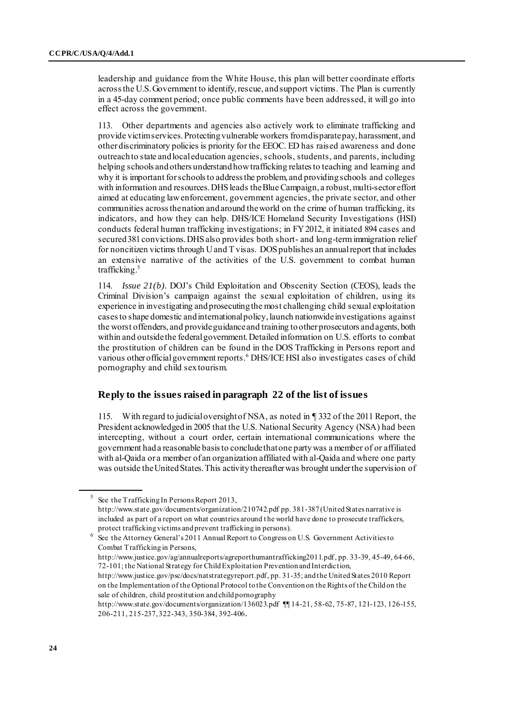leadership and guidance from the White House, this plan will better coordinate efforts across the U.S. Government to identify, rescue, and support victims. The Plan is currently in a 45-day comment period; once public comments have been addressed, it will go into effect across the government.

113. Other departments and agencies also actively work to eliminate trafficking and provide victimservices. Protecting vulnerable workers from disparate pay, harassment, and other discriminatory policies is priority for the EEOC. ED has raised awareness and done outreach to state and local education agencies, schools, students, and parents, including helping schools and others understand how trafficking relates to teaching and learning and why it is important for schools to address the problem, and providing schools and colleges with information and resources. DHS leads the Blue Campaign, a robust, multi-sector effort aimed at educating law enforcement, government agencies, the private sector, and other communities across the nation and around the world on the crime of human trafficking, its indicators, and how they can help. DHS/ICE Homeland Security Investigations (HSI) conducts federal human trafficking investigations; in FY 2012, it initiated 894 cases and secured 381 convictions. DHS also provides both short- and long-term immigration relief for noncitizen victims through U and T visas. DOS publishes an annual report that includes an extensive narrative of the activities of the U.S. government to combat human trafficking.<sup>5</sup>

114. *Issue 21(b).* DOJ's Child Exploitation and Obscenity Section (CEOS), leads the Criminal Division's campaign against the sexual exploitation of children, using its experience in investigating and prosecuting the most challenging child sexual exploitation cases to shape domestic and international policy, launch nationwide investigations against the worst offenders, and provide guidance and training to other prosecutors and agents, both within and outside the federal government. Detailed information on U.S. efforts to combat the prostitution of children can be found in the DOS Trafficking in Persons report and various other official government reports.<sup>6</sup> DHS/ICE HSI also investigates cases of child pornography and child sex tourism.

# **Reply to the issues raised in paragraph 22 of the list of issues**

115. With regard to judicial oversight of NSA, as noted in ¶ 332 of the 2011 Report, the President acknowledged in 2005 that the U.S. National Security Agency (NSA) had been intercepting, without a court order, certain international communications where the government had a reasonable basis to conclude that one party was a member of or affiliated with al-Qaida or a member of an organization affiliated with al-Qaida and where one party was outside the United States. This activity thereafter was brought under the supervision of

<sup>5</sup> See the Trafficking In Persons Report 2013, <http://www.state.gov/documents/organization/210742.pdf> pp. 381-387 (United States narrative is included as part of a report on what countries around t he world have done to prosecute traffickers, protect trafficking victims and prevent trafficking in persons).

<sup>6</sup> See the Attorney General's 2011 Annual Report to Congress on U.S. Government Activities to Combat Trafficking in Persons,

<http://www.justice.gov/ag/annualreports/agreporthumantrafficking2011.pdf>, pp. 33-39, 45-49, 64-66, 72-101; the National Strategy for Child Exploitation Prevention and Interdiction,

<http://www.justice.gov/psc/docs/natstrategyreport.pdf>, pp. 31-35; and the United States 2010 Report on the Implementation of the Optional Protocol to the Convention on the Rights of the Child on the sale of children, child prostitution and child pornography

<http://www.state.gov/documents/organization/136023.pdf> ¶¶ 14-21, 58-62, 75-87, 121-123, 126-155, 206-211, 215-237, 322-343, 350-384, 392-406.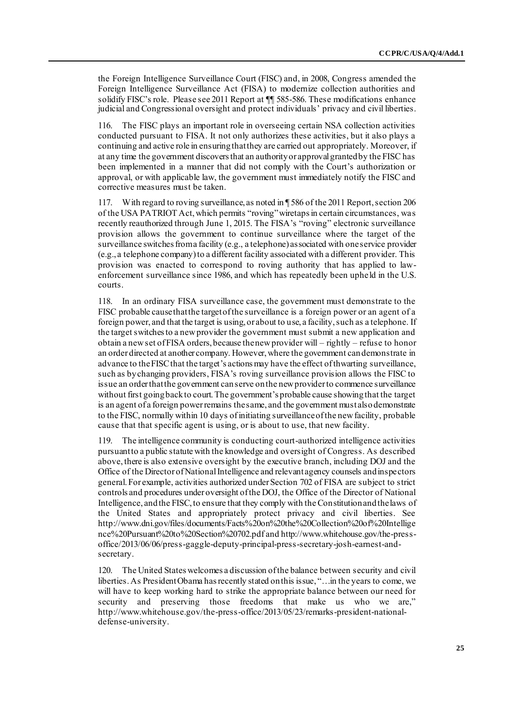the Foreign Intelligence Surveillance Court (FISC) and, in 2008, Congress amended the Foreign Intelligence Surveillance Act (FISA) to modernize collection authorities and solidify FISC's role. Please see 2011 Report at  $\P$  585-586. These modifications enhance judicial and Congressional oversight and protect individuals' privacy and civil liberties.

The FISC plays an important role in overseeing certain NSA collection activities conducted pursuant to FISA. It not only authorizes these activities, but it also plays a continuing and active role in ensuring that they are carried out appropriately. Moreover, if at any time the government discovers that an authority or approval granted by the FISC has been implemented in a manner that did not comply with the Court's authorization or approval, or with applicable law, the government must immediately notify the FISC and corrective measures must be taken.

117. With regard to roving surveillance, as noted in ¶ 586 of the 2011 Report, section 206 of the USA PATRIOT Act, which permits "roving" wiretaps in certain circumstances, was recently reauthorized through June 1, 2015. The FISA's "roving" electronic surveillance provision allows the government to continue surveillance where the target of the surveillance switches from a facility (e.g., a telephone) associated with one service provider (e.g., a telephone company) to a different facility associated with a different provider. This provision was enacted to correspond to roving authority that has applied to lawenforcement surveillance since 1986, and which has repeatedly been upheld in the U.S. courts.

118. In an ordinary FISA surveillance case, the government must demonstrate to the FISC probable cause that the target of the surveillance is a foreign power or an agent of a foreign power, and that the target is using, or about to use, a facility, such as a telephone. If the target switches to a new provider the government must submit a new application and obtain a new set of FISA orders, because the new provider will – rightly – refuse to honor an order directed at another company. However, where the government can demonstrate in advance to the FISC that the target's actions may have the effect of thwarting surveillance, such as by changing providers, FISA's roving surveillance provision allows the FISC to issue an order that the government can serve on the new provider to commence surveillance without first going back to court. The government's probable cause showing that the target is an agent of a foreign power remains the same, and the government must also demonstrate to the FISC, normally within 10 days of initiating surveillance of the new facility, probable cause that that specific agent is using, or is about to use, that new facility.

119. The intelligence community is conducting court-authorized intelligence activities pursuant to a public statute with the knowledge and oversight of Congress. As described above, there is also extensive oversight by the executive branch, including DOJ and the Office of the Director of National Intelligence and relevant agency counsels and inspectors general. For example, activities authorized under Section 702 of FISA are subject to strict controls and procedures under oversight of the DOJ, the Office of the Director of National Intelligence, and the FISC, to ensure that they comply with the Constitution and the laws of the United States and appropriately protect privacy and civil liberties. See [http://www.dni.gov/files/documents/Facts%20on%20the%20Collection%20of%20Intellige](http://www.dni.gov/files/documents/Facts%20on%20the%20Collection%20of%20Intelligence%20Pursuant%20to%20Section%20702.pdf) [nce%20Pursuant%20to%20Section%20702.pdf](http://www.dni.gov/files/documents/Facts%20on%20the%20Collection%20of%20Intelligence%20Pursuant%20to%20Section%20702.pdf) and [http://www.whitehouse.gov/the-press](http://www.whitehouse.gov/the-press-office/2013/06/06/press-gaggle-deputy-principal-press-secretary-josh-earnest-and-secretary)[office/2013/06/06/press-gaggle-deputy-principal-press-secretary-josh-earnest-and](http://www.whitehouse.gov/the-press-office/2013/06/06/press-gaggle-deputy-principal-press-secretary-josh-earnest-and-secretary)[secretary](http://www.whitehouse.gov/the-press-office/2013/06/06/press-gaggle-deputy-principal-press-secretary-josh-earnest-and-secretary).

120. The United States welcomes a discussion of the balance between security and civil liberties.As President Obama has recently stated on this issue, "…in the years to come, we will have to keep working hard to strike the appropriate balance between our need for security and preserving those freedoms that make us who we are," [http://www.whitehouse.gov/the-press-office/2013/05/23/remarks-president-national](http://www.whitehouse.gov/the-press-office/2013/05/23/remarks-president-national-defense-university)[defense-university](http://www.whitehouse.gov/the-press-office/2013/05/23/remarks-president-national-defense-university).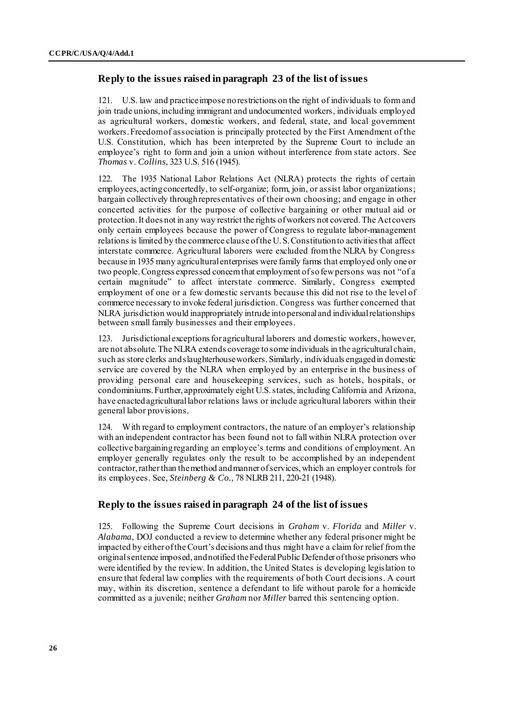# **Reply to the issues raised in paragraph 23 of the list of issues**

121. U.S. law and practice impose no restrictions on the right of individuals to form and join trade unions, including immigrant and undocumented workers, individuals employed as agricultural workers, domestic workers, and federal, state, and local government workers. Freedom of association is principally protected by the First Amendment of the U.S. Constitution, which has been interpreted by the Supreme Court to include an employee's right to form and join a union without interference from state actors. See *Thomas* v. *Collins*, 323 U.S. 516 (1945).

122. The 1935 National Labor Relations Act (NLRA) protects the rights of certain employees, acting concertedly, to self-organize; form, join, or assist labor organizations; bargain collectively through representatives of their own choosing; and engage in other concerted activities for the purpose of collective bargaining or other mutual aid or protection. It does not in any way restrict the rights of workers not covered. The Act covers only certain employees because the power of Congress to regulate labor-management relations is limited by the commerce clause of the U. S. Constitution to activities that affect interstate commerce. Agricultural laborers were excluded from the NLRA by Congress because in 1935 many agricultural enterprises were family farms that employed only one or two people. Congress expressed concern that employment of so few persons was not "of a certain magnitude" to affect interstate commerce. Similarly, Congress exempted employment of one or a few domestic servants because this did not rise to the level of commerce necessary to invoke federal jurisdiction. Congress was further concerned that NLRA jurisdiction would inappropriately intrude into personal and individual relationships between small family businesses and their employees.

123. Jurisdictional exceptions for agricultural laborers and domestic workers, however, are not absolute. The NLRA extends coverage to some individuals in the agricultural chain, such as store clerks and slaughterhouse workers. Similarly, individuals engaged in domestic service are covered by the NLRA when employed by an enterprise in the business of providing personal care and housekeeping services, such as hotels, hospitals, or condominiums. Further, approximately eight U.S. states, including California and Arizona, have enacted agricultural labor relations laws or include agricultural laborers within their general labor provisions.

124. With regard to employment contractors, the nature of an employer's relationship with an independent contractor has been found not to fall within NLRA protection over collective bargaining regarding an employee's terms and conditions of employment. An employer generally regulates only the result to be accomplished by an independent contractor, rather than the method and manner of services, which an employer controls for its employees. See, *Steinberg & Co.*, 78 NLRB 211, 220-21 (1948).

# **Reply to the issues raised in paragraph 24 of the list of issues**

125. Following the Supreme Court decisions in *Graham* v. *Florida* and *Miller* v. *Alabama*, DOJ conducted a review to determine whether any federal prisoner might be impacted by either of the Court's decisions and thus might have a claim for relief from the original sentence imposed, and notified the Federal Public Defender of those prisoners who were identified by the review. In addition, the United States is developing legislation to ensure that federal law complies with the requirements of both Court decisions. A court may, within its discretion, sentence a defendant to life without parole for a homicide committed as a juvenile; neither *Graham* nor *Miller* barred this sentencing option.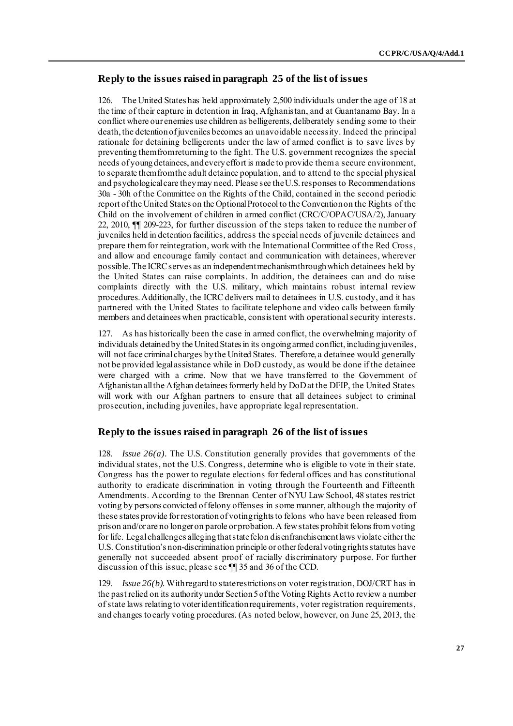# **Reply to the issues raised in paragraph 25 of the list of issues**

126. The United States has held approximately 2,500 individuals under the age of 18 at the time of their capture in detention in Iraq, Afghanistan, and at Guantanamo Bay. In a conflict where our enemies use children as belligerents, deliberately sending some to their death, the detention of juveniles becomes an unavoidable necessity. Indeed the principal rationale for detaining belligerents under the law of armed conflict is to save lives by preventing them from returning to the fight. The U.S. government recognizes the special needs of young detainees, and every effort is made to provide them a secure environment, to separate them from the adult detainee population, and to attend to the special physical and psychological care they may need. Please see the U.S. responses to Recommendations 30a - 30h of the Committee on the Rights of the Child, contained in the second periodic report of the United States on the Optional Protocol to the Convention on the Rights of the Child on the involvement of children in armed conflict (CRC/C/OPAC/USA/2), January 22, 2010, ¶¶ 209-223, for further discussion of the steps taken to reduce the number of juveniles held in detention facilities, address the special needs of juvenile detainees and prepare them for reintegration, work with the International Committee of the Red Cross, and allow and encourage family contact and communication with detainees, wherever possible.The ICRC serves as an independent mechanism through which detainees held by the United States can raise complaints. In addition, the detainees can and do raise complaints directly with the U.S. military, which maintains robust internal review procedures. Additionally, the ICRC delivers mail to detainees in U.S. custody, and it has partnered with the United States to facilitate telephone and video calls between family members and detainees when practicable, consistent with operational security interests.

127. As has historically been the case in armed conflict, the overwhelming majority of individuals detained by the United States in its ongoing armed conflict, including juveniles, will not face criminal charges by the United States. Therefore, a detainee would generally not be provided legal assistance while in DoD custody, as would be done if the detainee were charged with a crime. Now that we have transferred to the Government of Afghanistan all the Afghan detainees formerly held by DoD at the DFIP, the United States will work with our Afghan partners to ensure that all detainees subject to criminal prosecution, including juveniles, have appropriate legal representation.

# **Reply to the issues raised in paragraph 26 of the list of issues**

128. *Issue 26(a).* The U.S. Constitution generally provides that governments of the individual states, not the U.S. Congress, determine who is eligible to vote in their state. Congress has the power to regulate elections for federal offices and has constitutional authority to eradicate discrimination in voting through the Fourteenth and Fifteenth Amendments. According to the Brennan Center of NYU Law School, 48 states restrict voting by persons convicted of felony offenses in some manner, although the majority of these states provide for restoration of voting rights to felons who have been released from prison and/or are no longer on parole or probation. A few states prohibit felons from voting for life. Legal challenges alleging that state felon disenfranchisement laws violate either the U.S. Constitution's non-discrimination principle or other federal voting rights statutes have generally not succeeded absent proof of racially discriminatory purpose. For further discussion of this issue, please see ¶¶ 35 and 36 of the CCD.

129. *Issue 26(b).*With regard to state restrictions on voter registration, DOJ/CRT has in the past relied on its authority under Section 5 of the Voting Rights Act to review a number of state laws relating to voter identification requirements, voter registration requirements, and changes to early voting procedures. (As noted below, however, on June 25, 2013, the